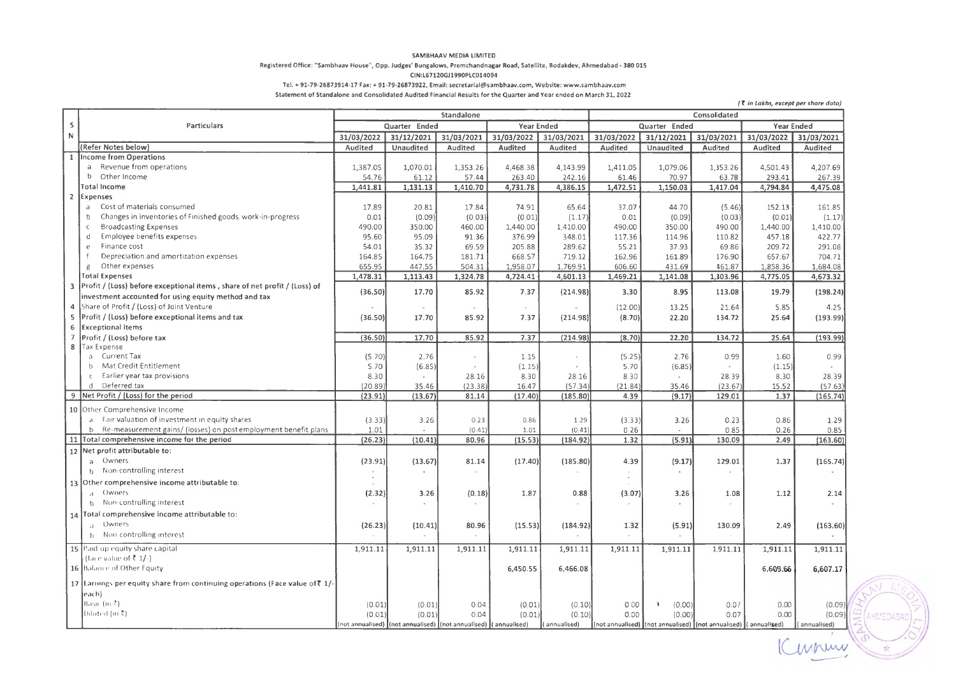#### SAMBHAAV MEDIA LIMITED

#### **Registered Office: "Sambhaav House", Opp. Judges' Bungalows, Premchandnagar Road, Satellite, Bodakdev, Ahmedabad- 380 015**

#### CIN:L67120GJl990PLCOl4094

**Tel.+ 91-79-26873914-17 Fax:+ 91-79-26873922, Email: secretarial@sambhaav.com, Website: www.sambhaav.com** 

**Statement of Standalone and Consolidated Audited Financial Results for the Quarter and Year ended on March 31, 2022** 

| Standalone<br>Consolidated<br>s<br>Particulars<br>Quarter Ended<br>Year Ended<br>Quarter Ended<br>Year Ended<br>$\mathbb{N}$<br>31/03/2022<br>31/03/2022<br>31/12/2021<br>31/03/2021<br>31/03/2022<br>31/03/2021<br>31/03/2022<br>31/12/2021<br>31/03/2021<br>31/03/2021<br>(Refer Notes below)<br>Audited<br>Unaudited<br>Audited<br>Audited<br>Audited<br>Audited<br>Unaudited<br>Audited<br>Audited<br>Audited<br>1 Income from Operations<br>a Revenue from operations<br>1,070.01<br>4,468.38<br>4,207.69<br>1,387.05<br>1,353.26<br>4,143.99<br>1,411.05<br>1,079.06<br>1,353.26<br>4,501.43<br>b Other Income<br>54.76<br>57.44<br>263.40<br>242.16<br>61.46<br>70.97<br>63.78<br>293.41<br>267.39<br>61.12<br>Total Income<br>1,441.81<br>1,131.13<br>1,410.70<br>4,731.78<br>4,386.15<br>1,472.51<br>1,150.03<br>1,417.04<br>4,794.84<br>4,475.08<br>$\overline{2}$<br>Expenses<br>Cost of materials consumed<br>17.89<br>20.81<br>17.84<br>74.91<br>65.64<br>37.07<br>44.70<br>(5.46)<br>152.13<br>161.85<br>a<br>Changes in inventories of Finished goods, work-in-progress<br>0.01<br>(0.09)<br>(0.03)<br>(0.01)<br>0.01<br>(0.09)<br>(0.03)<br>(0.01)<br>(1.17)<br>(1.17)<br>b<br>490.00<br>490.00<br><b>Broadcasting Expenses</b><br>350.00<br>460.00<br>1,440.00<br>1,410.00<br>490.00<br>350.00<br>1,440.00<br>1,410.00<br>$\epsilon$<br>Employee benefits expenses<br>95.60<br>376.99<br>348.01<br>457.18<br>422.77<br>d<br>95.09<br>91.36<br>117.36<br>114.96<br>110.82<br>Finance cost<br>205.88<br>55.21<br>37.93<br>209.72<br>291.08<br>54.01<br>35.32<br>69.59<br>289.62<br>69.86<br>e<br>Depreciation and amortization expenses<br>164.85<br>668.57<br>$\ddot{f}$<br>164.75<br>181.71<br>719.12<br>162.96<br>161.89<br>176.90<br>657.67<br>704.71<br>Other expenses<br>655.95<br>447.55<br>504.31<br>1,958.07<br>1,769.91<br>606.60<br>431.69<br>461.87<br>1,858.36<br>1,684.08<br>$\epsilon$<br><b>Total Expenses</b><br>1,478.31<br>1,113.43<br>1,324.78<br>4,724.41<br>4,601.13<br>1,469.21<br>1,141.08<br>1,303.96<br>4,775.05<br>4,673.32<br>Profit / (Loss) before exceptional items, share of net profit / (Loss) of<br>3<br>(36.50)<br>85.92<br>7.37<br>(214.98)<br>8.95<br>19.79<br>(198.24)<br>17.70<br>3.30<br>113.08<br>investment accounted for using equity method and tax<br>Share of Profit / (Loss) of Joint Venture<br>(12.00)<br>5.85<br>4<br>13.25<br>21.64<br>4.25<br>÷<br>Profit / (Loss) before exceptional items and tax<br>5<br>(36.50)<br>134.72<br>17.70<br>85.92<br>7.37<br>(214.98)<br>(8.70)<br>22.20<br>25.64<br>(193.99)<br><b>Exceptional items</b><br>6<br>(36.50)<br>17.70<br>85.92<br>7.37<br>134.72<br>25.64<br>(193.99)<br>$\overline{J}$<br>Profit / (Loss) before tax<br>(214.98)<br>(8.70)<br>22.20<br>8<br>Tax Expense<br>a Current Tax<br>(5.70)<br>2.76<br>(5.25)<br>2.76<br>0.99<br>1.60<br>0.99<br>1.15<br>$\sim$<br>$\sim$<br>Mat Credit Entitlement<br>b<br>5.70<br>(1.15)<br>(6.85)<br>(6.85)<br>5.70<br>(1.15)<br>c Earlier year tax provisions<br>8.30<br>8.30<br>8.30<br>28.39<br>8.30<br>28.39<br>28.16<br>28.16<br>$\sim$<br>d Deferred tax<br>(20.89)<br>(23.38)<br>16.47<br>(57.34)<br>(21.84)<br>(23.67)<br>15.52<br>(57.63)<br>35.46<br>35.46<br>Net Profit / (Loss) for the period<br>9<br>(23.91)<br>(165.74)<br>(13.67)<br>81.14<br>(17.40)<br>(185.80)<br>4.39<br>(9.17)<br>129.01<br>1.37<br>10 Other Comprehensive Income<br>a Fair valuation of investment in equity shares<br>(3.33)<br>3.26<br>0.23<br>0.86<br>0.23<br>0.86<br>1.29<br>(3.33)<br>3.26<br>1.29<br>b Re-measurement gains/ (losses) on post employment benefit plans<br>1.01<br>(0.41)<br>(0.41)<br>0.85<br>0.85<br>1.01<br>0.26<br>0.26<br>11 Total comprehensive income for the period<br>(26.23)<br>(184.92)<br>1.32<br>(5.91)<br>130.09<br>2.49<br>(10.41)<br>80.96<br>(15.53)<br>(163.60)<br>12 Net profit attributable to:<br>a Owners<br>(23.91)<br>(13.67)<br>(17.40)<br>(185.80)<br>(9.17)<br>129.01<br>1.37<br>(165.74)<br>81.14<br>4.39<br>b Non-controlling interest<br>$\sim$<br>13 Other comprehensive income attributable to:<br>a Owners<br>(2.32)<br>(0.18)<br>1.87<br>0.88<br>(3.07)<br>1.12<br>3.26<br>3.26<br>1.08<br>2.14<br>b Non-controlling interest<br>$\sim$<br>14 Total comprehensive income attributable to:<br>a Owners<br>(26.23)<br>(10.41)<br>80.96<br>(15.53)<br>(184.92)<br>1.32<br>(5.91)<br>130.09<br>2.49<br>(163.60)<br>b Non-controlling interest<br>15 Paid up equity share capital<br>1,911.11<br>1,911.11<br>1,911.11<br>1,911.11<br>1,911.11<br>1,911.11<br>1.911.11<br>1,911.11<br>1,911.11<br>1,911.11<br>(face value of ₹ 1/-)<br>16 Balance of Other Equity<br>6,607.17<br>6,450.55<br>6,466.08<br>6,609.66<br>17 Earnings per equity share from continuing operations (Face value of \times)<br>each).<br>Basic $(m2)$<br>(0.01)<br>0.04<br>(0.00)<br>0.00<br>(0.01)<br>(0.01)<br>(0.10)<br>0.00<br>k<br>0.07<br>(0.09)<br>Diluted (in ₹)<br>(0.01)<br>0.04<br>(0.01)<br>(0.10)<br>0.00<br>0.07<br>0.00<br>(0.09)<br>(0.01)<br>(0.00)<br>(not annualised) (not annualised) (not annualised) (annualised)<br>(annualised)<br>$\lceil$ (not annualised) $\lceil$ (not annualised) $\lceil$ (not annualised) $\lceil$ (annualised)<br>(annualised) |  |  |  |  |  |  |  |  |  | (१ in Lakhs, except per share data) |       |
|---------------------------------------------------------------------------------------------------------------------------------------------------------------------------------------------------------------------------------------------------------------------------------------------------------------------------------------------------------------------------------------------------------------------------------------------------------------------------------------------------------------------------------------------------------------------------------------------------------------------------------------------------------------------------------------------------------------------------------------------------------------------------------------------------------------------------------------------------------------------------------------------------------------------------------------------------------------------------------------------------------------------------------------------------------------------------------------------------------------------------------------------------------------------------------------------------------------------------------------------------------------------------------------------------------------------------------------------------------------------------------------------------------------------------------------------------------------------------------------------------------------------------------------------------------------------------------------------------------------------------------------------------------------------------------------------------------------------------------------------------------------------------------------------------------------------------------------------------------------------------------------------------------------------------------------------------------------------------------------------------------------------------------------------------------------------------------------------------------------------------------------------------------------------------------------------------------------------------------------------------------------------------------------------------------------------------------------------------------------------------------------------------------------------------------------------------------------------------------------------------------------------------------------------------------------------------------------------------------------------------------------------------------------------------------------------------------------------------------------------------------------------------------------------------------------------------------------------------------------------------------------------------------------------------------------------------------------------------------------------------------------------------------------------------------------------------------------------------------------------------------------------------------------------------------------------------------------------------------------------------------------------------------------------------------------------------------------------------------------------------------------------------------------------------------------------------------------------------------------------------------------------------------------------------------------------------------------------------------------------------------------------------------------------------------------------------------------------------------------------------------------------------------------------------------------------------------------------------------------------------------------------------------------------------------------------------------------------------------------------------------------------------------------------------------------------------------------------------------------------------------------------------------------------------------------------------------------------------------------------------------------------------------------------------------------------------------------------------------------------------------------------------------------------------------------------------------------------------------------------------------------------------------------------------------------------------------------------------------------------------------------------------------------------------------------------------------------------------------------------------------------------------------------------------------------------------------------------------------------------------------------------------------------------------------------------------------------------------------------------------------------------------------------------------------------------------------------------------------------------------------------------------------------------------------------------------------------------------------------------------------|--|--|--|--|--|--|--|--|--|-------------------------------------|-------|
|                                                                                                                                                                                                                                                                                                                                                                                                                                                                                                                                                                                                                                                                                                                                                                                                                                                                                                                                                                                                                                                                                                                                                                                                                                                                                                                                                                                                                                                                                                                                                                                                                                                                                                                                                                                                                                                                                                                                                                                                                                                                                                                                                                                                                                                                                                                                                                                                                                                                                                                                                                                                                                                                                                                                                                                                                                                                                                                                                                                                                                                                                                                                                                                                                                                                                                                                                                                                                                                                                                                                                                                                                                                                                                                                                                                                                                                                                                                                                                                                                                                                                                                                                                                                                                                                                                                                                                                                                                                                                                                                                                                                                                                                                                                                                                                                                                                                                                                                                                                                                                                                                                                                                                                                                                                         |  |  |  |  |  |  |  |  |  |                                     |       |
|                                                                                                                                                                                                                                                                                                                                                                                                                                                                                                                                                                                                                                                                                                                                                                                                                                                                                                                                                                                                                                                                                                                                                                                                                                                                                                                                                                                                                                                                                                                                                                                                                                                                                                                                                                                                                                                                                                                                                                                                                                                                                                                                                                                                                                                                                                                                                                                                                                                                                                                                                                                                                                                                                                                                                                                                                                                                                                                                                                                                                                                                                                                                                                                                                                                                                                                                                                                                                                                                                                                                                                                                                                                                                                                                                                                                                                                                                                                                                                                                                                                                                                                                                                                                                                                                                                                                                                                                                                                                                                                                                                                                                                                                                                                                                                                                                                                                                                                                                                                                                                                                                                                                                                                                                                                         |  |  |  |  |  |  |  |  |  |                                     |       |
|                                                                                                                                                                                                                                                                                                                                                                                                                                                                                                                                                                                                                                                                                                                                                                                                                                                                                                                                                                                                                                                                                                                                                                                                                                                                                                                                                                                                                                                                                                                                                                                                                                                                                                                                                                                                                                                                                                                                                                                                                                                                                                                                                                                                                                                                                                                                                                                                                                                                                                                                                                                                                                                                                                                                                                                                                                                                                                                                                                                                                                                                                                                                                                                                                                                                                                                                                                                                                                                                                                                                                                                                                                                                                                                                                                                                                                                                                                                                                                                                                                                                                                                                                                                                                                                                                                                                                                                                                                                                                                                                                                                                                                                                                                                                                                                                                                                                                                                                                                                                                                                                                                                                                                                                                                                         |  |  |  |  |  |  |  |  |  |                                     |       |
|                                                                                                                                                                                                                                                                                                                                                                                                                                                                                                                                                                                                                                                                                                                                                                                                                                                                                                                                                                                                                                                                                                                                                                                                                                                                                                                                                                                                                                                                                                                                                                                                                                                                                                                                                                                                                                                                                                                                                                                                                                                                                                                                                                                                                                                                                                                                                                                                                                                                                                                                                                                                                                                                                                                                                                                                                                                                                                                                                                                                                                                                                                                                                                                                                                                                                                                                                                                                                                                                                                                                                                                                                                                                                                                                                                                                                                                                                                                                                                                                                                                                                                                                                                                                                                                                                                                                                                                                                                                                                                                                                                                                                                                                                                                                                                                                                                                                                                                                                                                                                                                                                                                                                                                                                                                         |  |  |  |  |  |  |  |  |  |                                     |       |
|                                                                                                                                                                                                                                                                                                                                                                                                                                                                                                                                                                                                                                                                                                                                                                                                                                                                                                                                                                                                                                                                                                                                                                                                                                                                                                                                                                                                                                                                                                                                                                                                                                                                                                                                                                                                                                                                                                                                                                                                                                                                                                                                                                                                                                                                                                                                                                                                                                                                                                                                                                                                                                                                                                                                                                                                                                                                                                                                                                                                                                                                                                                                                                                                                                                                                                                                                                                                                                                                                                                                                                                                                                                                                                                                                                                                                                                                                                                                                                                                                                                                                                                                                                                                                                                                                                                                                                                                                                                                                                                                                                                                                                                                                                                                                                                                                                                                                                                                                                                                                                                                                                                                                                                                                                                         |  |  |  |  |  |  |  |  |  |                                     |       |
|                                                                                                                                                                                                                                                                                                                                                                                                                                                                                                                                                                                                                                                                                                                                                                                                                                                                                                                                                                                                                                                                                                                                                                                                                                                                                                                                                                                                                                                                                                                                                                                                                                                                                                                                                                                                                                                                                                                                                                                                                                                                                                                                                                                                                                                                                                                                                                                                                                                                                                                                                                                                                                                                                                                                                                                                                                                                                                                                                                                                                                                                                                                                                                                                                                                                                                                                                                                                                                                                                                                                                                                                                                                                                                                                                                                                                                                                                                                                                                                                                                                                                                                                                                                                                                                                                                                                                                                                                                                                                                                                                                                                                                                                                                                                                                                                                                                                                                                                                                                                                                                                                                                                                                                                                                                         |  |  |  |  |  |  |  |  |  |                                     |       |
|                                                                                                                                                                                                                                                                                                                                                                                                                                                                                                                                                                                                                                                                                                                                                                                                                                                                                                                                                                                                                                                                                                                                                                                                                                                                                                                                                                                                                                                                                                                                                                                                                                                                                                                                                                                                                                                                                                                                                                                                                                                                                                                                                                                                                                                                                                                                                                                                                                                                                                                                                                                                                                                                                                                                                                                                                                                                                                                                                                                                                                                                                                                                                                                                                                                                                                                                                                                                                                                                                                                                                                                                                                                                                                                                                                                                                                                                                                                                                                                                                                                                                                                                                                                                                                                                                                                                                                                                                                                                                                                                                                                                                                                                                                                                                                                                                                                                                                                                                                                                                                                                                                                                                                                                                                                         |  |  |  |  |  |  |  |  |  |                                     |       |
|                                                                                                                                                                                                                                                                                                                                                                                                                                                                                                                                                                                                                                                                                                                                                                                                                                                                                                                                                                                                                                                                                                                                                                                                                                                                                                                                                                                                                                                                                                                                                                                                                                                                                                                                                                                                                                                                                                                                                                                                                                                                                                                                                                                                                                                                                                                                                                                                                                                                                                                                                                                                                                                                                                                                                                                                                                                                                                                                                                                                                                                                                                                                                                                                                                                                                                                                                                                                                                                                                                                                                                                                                                                                                                                                                                                                                                                                                                                                                                                                                                                                                                                                                                                                                                                                                                                                                                                                                                                                                                                                                                                                                                                                                                                                                                                                                                                                                                                                                                                                                                                                                                                                                                                                                                                         |  |  |  |  |  |  |  |  |  |                                     |       |
|                                                                                                                                                                                                                                                                                                                                                                                                                                                                                                                                                                                                                                                                                                                                                                                                                                                                                                                                                                                                                                                                                                                                                                                                                                                                                                                                                                                                                                                                                                                                                                                                                                                                                                                                                                                                                                                                                                                                                                                                                                                                                                                                                                                                                                                                                                                                                                                                                                                                                                                                                                                                                                                                                                                                                                                                                                                                                                                                                                                                                                                                                                                                                                                                                                                                                                                                                                                                                                                                                                                                                                                                                                                                                                                                                                                                                                                                                                                                                                                                                                                                                                                                                                                                                                                                                                                                                                                                                                                                                                                                                                                                                                                                                                                                                                                                                                                                                                                                                                                                                                                                                                                                                                                                                                                         |  |  |  |  |  |  |  |  |  |                                     |       |
|                                                                                                                                                                                                                                                                                                                                                                                                                                                                                                                                                                                                                                                                                                                                                                                                                                                                                                                                                                                                                                                                                                                                                                                                                                                                                                                                                                                                                                                                                                                                                                                                                                                                                                                                                                                                                                                                                                                                                                                                                                                                                                                                                                                                                                                                                                                                                                                                                                                                                                                                                                                                                                                                                                                                                                                                                                                                                                                                                                                                                                                                                                                                                                                                                                                                                                                                                                                                                                                                                                                                                                                                                                                                                                                                                                                                                                                                                                                                                                                                                                                                                                                                                                                                                                                                                                                                                                                                                                                                                                                                                                                                                                                                                                                                                                                                                                                                                                                                                                                                                                                                                                                                                                                                                                                         |  |  |  |  |  |  |  |  |  |                                     |       |
|                                                                                                                                                                                                                                                                                                                                                                                                                                                                                                                                                                                                                                                                                                                                                                                                                                                                                                                                                                                                                                                                                                                                                                                                                                                                                                                                                                                                                                                                                                                                                                                                                                                                                                                                                                                                                                                                                                                                                                                                                                                                                                                                                                                                                                                                                                                                                                                                                                                                                                                                                                                                                                                                                                                                                                                                                                                                                                                                                                                                                                                                                                                                                                                                                                                                                                                                                                                                                                                                                                                                                                                                                                                                                                                                                                                                                                                                                                                                                                                                                                                                                                                                                                                                                                                                                                                                                                                                                                                                                                                                                                                                                                                                                                                                                                                                                                                                                                                                                                                                                                                                                                                                                                                                                                                         |  |  |  |  |  |  |  |  |  |                                     |       |
|                                                                                                                                                                                                                                                                                                                                                                                                                                                                                                                                                                                                                                                                                                                                                                                                                                                                                                                                                                                                                                                                                                                                                                                                                                                                                                                                                                                                                                                                                                                                                                                                                                                                                                                                                                                                                                                                                                                                                                                                                                                                                                                                                                                                                                                                                                                                                                                                                                                                                                                                                                                                                                                                                                                                                                                                                                                                                                                                                                                                                                                                                                                                                                                                                                                                                                                                                                                                                                                                                                                                                                                                                                                                                                                                                                                                                                                                                                                                                                                                                                                                                                                                                                                                                                                                                                                                                                                                                                                                                                                                                                                                                                                                                                                                                                                                                                                                                                                                                                                                                                                                                                                                                                                                                                                         |  |  |  |  |  |  |  |  |  |                                     |       |
|                                                                                                                                                                                                                                                                                                                                                                                                                                                                                                                                                                                                                                                                                                                                                                                                                                                                                                                                                                                                                                                                                                                                                                                                                                                                                                                                                                                                                                                                                                                                                                                                                                                                                                                                                                                                                                                                                                                                                                                                                                                                                                                                                                                                                                                                                                                                                                                                                                                                                                                                                                                                                                                                                                                                                                                                                                                                                                                                                                                                                                                                                                                                                                                                                                                                                                                                                                                                                                                                                                                                                                                                                                                                                                                                                                                                                                                                                                                                                                                                                                                                                                                                                                                                                                                                                                                                                                                                                                                                                                                                                                                                                                                                                                                                                                                                                                                                                                                                                                                                                                                                                                                                                                                                                                                         |  |  |  |  |  |  |  |  |  |                                     |       |
|                                                                                                                                                                                                                                                                                                                                                                                                                                                                                                                                                                                                                                                                                                                                                                                                                                                                                                                                                                                                                                                                                                                                                                                                                                                                                                                                                                                                                                                                                                                                                                                                                                                                                                                                                                                                                                                                                                                                                                                                                                                                                                                                                                                                                                                                                                                                                                                                                                                                                                                                                                                                                                                                                                                                                                                                                                                                                                                                                                                                                                                                                                                                                                                                                                                                                                                                                                                                                                                                                                                                                                                                                                                                                                                                                                                                                                                                                                                                                                                                                                                                                                                                                                                                                                                                                                                                                                                                                                                                                                                                                                                                                                                                                                                                                                                                                                                                                                                                                                                                                                                                                                                                                                                                                                                         |  |  |  |  |  |  |  |  |  |                                     |       |
|                                                                                                                                                                                                                                                                                                                                                                                                                                                                                                                                                                                                                                                                                                                                                                                                                                                                                                                                                                                                                                                                                                                                                                                                                                                                                                                                                                                                                                                                                                                                                                                                                                                                                                                                                                                                                                                                                                                                                                                                                                                                                                                                                                                                                                                                                                                                                                                                                                                                                                                                                                                                                                                                                                                                                                                                                                                                                                                                                                                                                                                                                                                                                                                                                                                                                                                                                                                                                                                                                                                                                                                                                                                                                                                                                                                                                                                                                                                                                                                                                                                                                                                                                                                                                                                                                                                                                                                                                                                                                                                                                                                                                                                                                                                                                                                                                                                                                                                                                                                                                                                                                                                                                                                                                                                         |  |  |  |  |  |  |  |  |  |                                     |       |
|                                                                                                                                                                                                                                                                                                                                                                                                                                                                                                                                                                                                                                                                                                                                                                                                                                                                                                                                                                                                                                                                                                                                                                                                                                                                                                                                                                                                                                                                                                                                                                                                                                                                                                                                                                                                                                                                                                                                                                                                                                                                                                                                                                                                                                                                                                                                                                                                                                                                                                                                                                                                                                                                                                                                                                                                                                                                                                                                                                                                                                                                                                                                                                                                                                                                                                                                                                                                                                                                                                                                                                                                                                                                                                                                                                                                                                                                                                                                                                                                                                                                                                                                                                                                                                                                                                                                                                                                                                                                                                                                                                                                                                                                                                                                                                                                                                                                                                                                                                                                                                                                                                                                                                                                                                                         |  |  |  |  |  |  |  |  |  |                                     |       |
|                                                                                                                                                                                                                                                                                                                                                                                                                                                                                                                                                                                                                                                                                                                                                                                                                                                                                                                                                                                                                                                                                                                                                                                                                                                                                                                                                                                                                                                                                                                                                                                                                                                                                                                                                                                                                                                                                                                                                                                                                                                                                                                                                                                                                                                                                                                                                                                                                                                                                                                                                                                                                                                                                                                                                                                                                                                                                                                                                                                                                                                                                                                                                                                                                                                                                                                                                                                                                                                                                                                                                                                                                                                                                                                                                                                                                                                                                                                                                                                                                                                                                                                                                                                                                                                                                                                                                                                                                                                                                                                                                                                                                                                                                                                                                                                                                                                                                                                                                                                                                                                                                                                                                                                                                                                         |  |  |  |  |  |  |  |  |  |                                     |       |
|                                                                                                                                                                                                                                                                                                                                                                                                                                                                                                                                                                                                                                                                                                                                                                                                                                                                                                                                                                                                                                                                                                                                                                                                                                                                                                                                                                                                                                                                                                                                                                                                                                                                                                                                                                                                                                                                                                                                                                                                                                                                                                                                                                                                                                                                                                                                                                                                                                                                                                                                                                                                                                                                                                                                                                                                                                                                                                                                                                                                                                                                                                                                                                                                                                                                                                                                                                                                                                                                                                                                                                                                                                                                                                                                                                                                                                                                                                                                                                                                                                                                                                                                                                                                                                                                                                                                                                                                                                                                                                                                                                                                                                                                                                                                                                                                                                                                                                                                                                                                                                                                                                                                                                                                                                                         |  |  |  |  |  |  |  |  |  |                                     |       |
|                                                                                                                                                                                                                                                                                                                                                                                                                                                                                                                                                                                                                                                                                                                                                                                                                                                                                                                                                                                                                                                                                                                                                                                                                                                                                                                                                                                                                                                                                                                                                                                                                                                                                                                                                                                                                                                                                                                                                                                                                                                                                                                                                                                                                                                                                                                                                                                                                                                                                                                                                                                                                                                                                                                                                                                                                                                                                                                                                                                                                                                                                                                                                                                                                                                                                                                                                                                                                                                                                                                                                                                                                                                                                                                                                                                                                                                                                                                                                                                                                                                                                                                                                                                                                                                                                                                                                                                                                                                                                                                                                                                                                                                                                                                                                                                                                                                                                                                                                                                                                                                                                                                                                                                                                                                         |  |  |  |  |  |  |  |  |  |                                     |       |
|                                                                                                                                                                                                                                                                                                                                                                                                                                                                                                                                                                                                                                                                                                                                                                                                                                                                                                                                                                                                                                                                                                                                                                                                                                                                                                                                                                                                                                                                                                                                                                                                                                                                                                                                                                                                                                                                                                                                                                                                                                                                                                                                                                                                                                                                                                                                                                                                                                                                                                                                                                                                                                                                                                                                                                                                                                                                                                                                                                                                                                                                                                                                                                                                                                                                                                                                                                                                                                                                                                                                                                                                                                                                                                                                                                                                                                                                                                                                                                                                                                                                                                                                                                                                                                                                                                                                                                                                                                                                                                                                                                                                                                                                                                                                                                                                                                                                                                                                                                                                                                                                                                                                                                                                                                                         |  |  |  |  |  |  |  |  |  |                                     |       |
|                                                                                                                                                                                                                                                                                                                                                                                                                                                                                                                                                                                                                                                                                                                                                                                                                                                                                                                                                                                                                                                                                                                                                                                                                                                                                                                                                                                                                                                                                                                                                                                                                                                                                                                                                                                                                                                                                                                                                                                                                                                                                                                                                                                                                                                                                                                                                                                                                                                                                                                                                                                                                                                                                                                                                                                                                                                                                                                                                                                                                                                                                                                                                                                                                                                                                                                                                                                                                                                                                                                                                                                                                                                                                                                                                                                                                                                                                                                                                                                                                                                                                                                                                                                                                                                                                                                                                                                                                                                                                                                                                                                                                                                                                                                                                                                                                                                                                                                                                                                                                                                                                                                                                                                                                                                         |  |  |  |  |  |  |  |  |  |                                     |       |
|                                                                                                                                                                                                                                                                                                                                                                                                                                                                                                                                                                                                                                                                                                                                                                                                                                                                                                                                                                                                                                                                                                                                                                                                                                                                                                                                                                                                                                                                                                                                                                                                                                                                                                                                                                                                                                                                                                                                                                                                                                                                                                                                                                                                                                                                                                                                                                                                                                                                                                                                                                                                                                                                                                                                                                                                                                                                                                                                                                                                                                                                                                                                                                                                                                                                                                                                                                                                                                                                                                                                                                                                                                                                                                                                                                                                                                                                                                                                                                                                                                                                                                                                                                                                                                                                                                                                                                                                                                                                                                                                                                                                                                                                                                                                                                                                                                                                                                                                                                                                                                                                                                                                                                                                                                                         |  |  |  |  |  |  |  |  |  |                                     |       |
|                                                                                                                                                                                                                                                                                                                                                                                                                                                                                                                                                                                                                                                                                                                                                                                                                                                                                                                                                                                                                                                                                                                                                                                                                                                                                                                                                                                                                                                                                                                                                                                                                                                                                                                                                                                                                                                                                                                                                                                                                                                                                                                                                                                                                                                                                                                                                                                                                                                                                                                                                                                                                                                                                                                                                                                                                                                                                                                                                                                                                                                                                                                                                                                                                                                                                                                                                                                                                                                                                                                                                                                                                                                                                                                                                                                                                                                                                                                                                                                                                                                                                                                                                                                                                                                                                                                                                                                                                                                                                                                                                                                                                                                                                                                                                                                                                                                                                                                                                                                                                                                                                                                                                                                                                                                         |  |  |  |  |  |  |  |  |  |                                     |       |
|                                                                                                                                                                                                                                                                                                                                                                                                                                                                                                                                                                                                                                                                                                                                                                                                                                                                                                                                                                                                                                                                                                                                                                                                                                                                                                                                                                                                                                                                                                                                                                                                                                                                                                                                                                                                                                                                                                                                                                                                                                                                                                                                                                                                                                                                                                                                                                                                                                                                                                                                                                                                                                                                                                                                                                                                                                                                                                                                                                                                                                                                                                                                                                                                                                                                                                                                                                                                                                                                                                                                                                                                                                                                                                                                                                                                                                                                                                                                                                                                                                                                                                                                                                                                                                                                                                                                                                                                                                                                                                                                                                                                                                                                                                                                                                                                                                                                                                                                                                                                                                                                                                                                                                                                                                                         |  |  |  |  |  |  |  |  |  |                                     |       |
|                                                                                                                                                                                                                                                                                                                                                                                                                                                                                                                                                                                                                                                                                                                                                                                                                                                                                                                                                                                                                                                                                                                                                                                                                                                                                                                                                                                                                                                                                                                                                                                                                                                                                                                                                                                                                                                                                                                                                                                                                                                                                                                                                                                                                                                                                                                                                                                                                                                                                                                                                                                                                                                                                                                                                                                                                                                                                                                                                                                                                                                                                                                                                                                                                                                                                                                                                                                                                                                                                                                                                                                                                                                                                                                                                                                                                                                                                                                                                                                                                                                                                                                                                                                                                                                                                                                                                                                                                                                                                                                                                                                                                                                                                                                                                                                                                                                                                                                                                                                                                                                                                                                                                                                                                                                         |  |  |  |  |  |  |  |  |  |                                     |       |
|                                                                                                                                                                                                                                                                                                                                                                                                                                                                                                                                                                                                                                                                                                                                                                                                                                                                                                                                                                                                                                                                                                                                                                                                                                                                                                                                                                                                                                                                                                                                                                                                                                                                                                                                                                                                                                                                                                                                                                                                                                                                                                                                                                                                                                                                                                                                                                                                                                                                                                                                                                                                                                                                                                                                                                                                                                                                                                                                                                                                                                                                                                                                                                                                                                                                                                                                                                                                                                                                                                                                                                                                                                                                                                                                                                                                                                                                                                                                                                                                                                                                                                                                                                                                                                                                                                                                                                                                                                                                                                                                                                                                                                                                                                                                                                                                                                                                                                                                                                                                                                                                                                                                                                                                                                                         |  |  |  |  |  |  |  |  |  |                                     |       |
|                                                                                                                                                                                                                                                                                                                                                                                                                                                                                                                                                                                                                                                                                                                                                                                                                                                                                                                                                                                                                                                                                                                                                                                                                                                                                                                                                                                                                                                                                                                                                                                                                                                                                                                                                                                                                                                                                                                                                                                                                                                                                                                                                                                                                                                                                                                                                                                                                                                                                                                                                                                                                                                                                                                                                                                                                                                                                                                                                                                                                                                                                                                                                                                                                                                                                                                                                                                                                                                                                                                                                                                                                                                                                                                                                                                                                                                                                                                                                                                                                                                                                                                                                                                                                                                                                                                                                                                                                                                                                                                                                                                                                                                                                                                                                                                                                                                                                                                                                                                                                                                                                                                                                                                                                                                         |  |  |  |  |  |  |  |  |  |                                     |       |
|                                                                                                                                                                                                                                                                                                                                                                                                                                                                                                                                                                                                                                                                                                                                                                                                                                                                                                                                                                                                                                                                                                                                                                                                                                                                                                                                                                                                                                                                                                                                                                                                                                                                                                                                                                                                                                                                                                                                                                                                                                                                                                                                                                                                                                                                                                                                                                                                                                                                                                                                                                                                                                                                                                                                                                                                                                                                                                                                                                                                                                                                                                                                                                                                                                                                                                                                                                                                                                                                                                                                                                                                                                                                                                                                                                                                                                                                                                                                                                                                                                                                                                                                                                                                                                                                                                                                                                                                                                                                                                                                                                                                                                                                                                                                                                                                                                                                                                                                                                                                                                                                                                                                                                                                                                                         |  |  |  |  |  |  |  |  |  |                                     |       |
|                                                                                                                                                                                                                                                                                                                                                                                                                                                                                                                                                                                                                                                                                                                                                                                                                                                                                                                                                                                                                                                                                                                                                                                                                                                                                                                                                                                                                                                                                                                                                                                                                                                                                                                                                                                                                                                                                                                                                                                                                                                                                                                                                                                                                                                                                                                                                                                                                                                                                                                                                                                                                                                                                                                                                                                                                                                                                                                                                                                                                                                                                                                                                                                                                                                                                                                                                                                                                                                                                                                                                                                                                                                                                                                                                                                                                                                                                                                                                                                                                                                                                                                                                                                                                                                                                                                                                                                                                                                                                                                                                                                                                                                                                                                                                                                                                                                                                                                                                                                                                                                                                                                                                                                                                                                         |  |  |  |  |  |  |  |  |  |                                     |       |
|                                                                                                                                                                                                                                                                                                                                                                                                                                                                                                                                                                                                                                                                                                                                                                                                                                                                                                                                                                                                                                                                                                                                                                                                                                                                                                                                                                                                                                                                                                                                                                                                                                                                                                                                                                                                                                                                                                                                                                                                                                                                                                                                                                                                                                                                                                                                                                                                                                                                                                                                                                                                                                                                                                                                                                                                                                                                                                                                                                                                                                                                                                                                                                                                                                                                                                                                                                                                                                                                                                                                                                                                                                                                                                                                                                                                                                                                                                                                                                                                                                                                                                                                                                                                                                                                                                                                                                                                                                                                                                                                                                                                                                                                                                                                                                                                                                                                                                                                                                                                                                                                                                                                                                                                                                                         |  |  |  |  |  |  |  |  |  |                                     |       |
|                                                                                                                                                                                                                                                                                                                                                                                                                                                                                                                                                                                                                                                                                                                                                                                                                                                                                                                                                                                                                                                                                                                                                                                                                                                                                                                                                                                                                                                                                                                                                                                                                                                                                                                                                                                                                                                                                                                                                                                                                                                                                                                                                                                                                                                                                                                                                                                                                                                                                                                                                                                                                                                                                                                                                                                                                                                                                                                                                                                                                                                                                                                                                                                                                                                                                                                                                                                                                                                                                                                                                                                                                                                                                                                                                                                                                                                                                                                                                                                                                                                                                                                                                                                                                                                                                                                                                                                                                                                                                                                                                                                                                                                                                                                                                                                                                                                                                                                                                                                                                                                                                                                                                                                                                                                         |  |  |  |  |  |  |  |  |  |                                     |       |
|                                                                                                                                                                                                                                                                                                                                                                                                                                                                                                                                                                                                                                                                                                                                                                                                                                                                                                                                                                                                                                                                                                                                                                                                                                                                                                                                                                                                                                                                                                                                                                                                                                                                                                                                                                                                                                                                                                                                                                                                                                                                                                                                                                                                                                                                                                                                                                                                                                                                                                                                                                                                                                                                                                                                                                                                                                                                                                                                                                                                                                                                                                                                                                                                                                                                                                                                                                                                                                                                                                                                                                                                                                                                                                                                                                                                                                                                                                                                                                                                                                                                                                                                                                                                                                                                                                                                                                                                                                                                                                                                                                                                                                                                                                                                                                                                                                                                                                                                                                                                                                                                                                                                                                                                                                                         |  |  |  |  |  |  |  |  |  |                                     |       |
|                                                                                                                                                                                                                                                                                                                                                                                                                                                                                                                                                                                                                                                                                                                                                                                                                                                                                                                                                                                                                                                                                                                                                                                                                                                                                                                                                                                                                                                                                                                                                                                                                                                                                                                                                                                                                                                                                                                                                                                                                                                                                                                                                                                                                                                                                                                                                                                                                                                                                                                                                                                                                                                                                                                                                                                                                                                                                                                                                                                                                                                                                                                                                                                                                                                                                                                                                                                                                                                                                                                                                                                                                                                                                                                                                                                                                                                                                                                                                                                                                                                                                                                                                                                                                                                                                                                                                                                                                                                                                                                                                                                                                                                                                                                                                                                                                                                                                                                                                                                                                                                                                                                                                                                                                                                         |  |  |  |  |  |  |  |  |  |                                     |       |
|                                                                                                                                                                                                                                                                                                                                                                                                                                                                                                                                                                                                                                                                                                                                                                                                                                                                                                                                                                                                                                                                                                                                                                                                                                                                                                                                                                                                                                                                                                                                                                                                                                                                                                                                                                                                                                                                                                                                                                                                                                                                                                                                                                                                                                                                                                                                                                                                                                                                                                                                                                                                                                                                                                                                                                                                                                                                                                                                                                                                                                                                                                                                                                                                                                                                                                                                                                                                                                                                                                                                                                                                                                                                                                                                                                                                                                                                                                                                                                                                                                                                                                                                                                                                                                                                                                                                                                                                                                                                                                                                                                                                                                                                                                                                                                                                                                                                                                                                                                                                                                                                                                                                                                                                                                                         |  |  |  |  |  |  |  |  |  |                                     |       |
|                                                                                                                                                                                                                                                                                                                                                                                                                                                                                                                                                                                                                                                                                                                                                                                                                                                                                                                                                                                                                                                                                                                                                                                                                                                                                                                                                                                                                                                                                                                                                                                                                                                                                                                                                                                                                                                                                                                                                                                                                                                                                                                                                                                                                                                                                                                                                                                                                                                                                                                                                                                                                                                                                                                                                                                                                                                                                                                                                                                                                                                                                                                                                                                                                                                                                                                                                                                                                                                                                                                                                                                                                                                                                                                                                                                                                                                                                                                                                                                                                                                                                                                                                                                                                                                                                                                                                                                                                                                                                                                                                                                                                                                                                                                                                                                                                                                                                                                                                                                                                                                                                                                                                                                                                                                         |  |  |  |  |  |  |  |  |  |                                     |       |
|                                                                                                                                                                                                                                                                                                                                                                                                                                                                                                                                                                                                                                                                                                                                                                                                                                                                                                                                                                                                                                                                                                                                                                                                                                                                                                                                                                                                                                                                                                                                                                                                                                                                                                                                                                                                                                                                                                                                                                                                                                                                                                                                                                                                                                                                                                                                                                                                                                                                                                                                                                                                                                                                                                                                                                                                                                                                                                                                                                                                                                                                                                                                                                                                                                                                                                                                                                                                                                                                                                                                                                                                                                                                                                                                                                                                                                                                                                                                                                                                                                                                                                                                                                                                                                                                                                                                                                                                                                                                                                                                                                                                                                                                                                                                                                                                                                                                                                                                                                                                                                                                                                                                                                                                                                                         |  |  |  |  |  |  |  |  |  |                                     |       |
|                                                                                                                                                                                                                                                                                                                                                                                                                                                                                                                                                                                                                                                                                                                                                                                                                                                                                                                                                                                                                                                                                                                                                                                                                                                                                                                                                                                                                                                                                                                                                                                                                                                                                                                                                                                                                                                                                                                                                                                                                                                                                                                                                                                                                                                                                                                                                                                                                                                                                                                                                                                                                                                                                                                                                                                                                                                                                                                                                                                                                                                                                                                                                                                                                                                                                                                                                                                                                                                                                                                                                                                                                                                                                                                                                                                                                                                                                                                                                                                                                                                                                                                                                                                                                                                                                                                                                                                                                                                                                                                                                                                                                                                                                                                                                                                                                                                                                                                                                                                                                                                                                                                                                                                                                                                         |  |  |  |  |  |  |  |  |  |                                     |       |
|                                                                                                                                                                                                                                                                                                                                                                                                                                                                                                                                                                                                                                                                                                                                                                                                                                                                                                                                                                                                                                                                                                                                                                                                                                                                                                                                                                                                                                                                                                                                                                                                                                                                                                                                                                                                                                                                                                                                                                                                                                                                                                                                                                                                                                                                                                                                                                                                                                                                                                                                                                                                                                                                                                                                                                                                                                                                                                                                                                                                                                                                                                                                                                                                                                                                                                                                                                                                                                                                                                                                                                                                                                                                                                                                                                                                                                                                                                                                                                                                                                                                                                                                                                                                                                                                                                                                                                                                                                                                                                                                                                                                                                                                                                                                                                                                                                                                                                                                                                                                                                                                                                                                                                                                                                                         |  |  |  |  |  |  |  |  |  |                                     |       |
|                                                                                                                                                                                                                                                                                                                                                                                                                                                                                                                                                                                                                                                                                                                                                                                                                                                                                                                                                                                                                                                                                                                                                                                                                                                                                                                                                                                                                                                                                                                                                                                                                                                                                                                                                                                                                                                                                                                                                                                                                                                                                                                                                                                                                                                                                                                                                                                                                                                                                                                                                                                                                                                                                                                                                                                                                                                                                                                                                                                                                                                                                                                                                                                                                                                                                                                                                                                                                                                                                                                                                                                                                                                                                                                                                                                                                                                                                                                                                                                                                                                                                                                                                                                                                                                                                                                                                                                                                                                                                                                                                                                                                                                                                                                                                                                                                                                                                                                                                                                                                                                                                                                                                                                                                                                         |  |  |  |  |  |  |  |  |  |                                     |       |
|                                                                                                                                                                                                                                                                                                                                                                                                                                                                                                                                                                                                                                                                                                                                                                                                                                                                                                                                                                                                                                                                                                                                                                                                                                                                                                                                                                                                                                                                                                                                                                                                                                                                                                                                                                                                                                                                                                                                                                                                                                                                                                                                                                                                                                                                                                                                                                                                                                                                                                                                                                                                                                                                                                                                                                                                                                                                                                                                                                                                                                                                                                                                                                                                                                                                                                                                                                                                                                                                                                                                                                                                                                                                                                                                                                                                                                                                                                                                                                                                                                                                                                                                                                                                                                                                                                                                                                                                                                                                                                                                                                                                                                                                                                                                                                                                                                                                                                                                                                                                                                                                                                                                                                                                                                                         |  |  |  |  |  |  |  |  |  |                                     |       |
|                                                                                                                                                                                                                                                                                                                                                                                                                                                                                                                                                                                                                                                                                                                                                                                                                                                                                                                                                                                                                                                                                                                                                                                                                                                                                                                                                                                                                                                                                                                                                                                                                                                                                                                                                                                                                                                                                                                                                                                                                                                                                                                                                                                                                                                                                                                                                                                                                                                                                                                                                                                                                                                                                                                                                                                                                                                                                                                                                                                                                                                                                                                                                                                                                                                                                                                                                                                                                                                                                                                                                                                                                                                                                                                                                                                                                                                                                                                                                                                                                                                                                                                                                                                                                                                                                                                                                                                                                                                                                                                                                                                                                                                                                                                                                                                                                                                                                                                                                                                                                                                                                                                                                                                                                                                         |  |  |  |  |  |  |  |  |  |                                     |       |
|                                                                                                                                                                                                                                                                                                                                                                                                                                                                                                                                                                                                                                                                                                                                                                                                                                                                                                                                                                                                                                                                                                                                                                                                                                                                                                                                                                                                                                                                                                                                                                                                                                                                                                                                                                                                                                                                                                                                                                                                                                                                                                                                                                                                                                                                                                                                                                                                                                                                                                                                                                                                                                                                                                                                                                                                                                                                                                                                                                                                                                                                                                                                                                                                                                                                                                                                                                                                                                                                                                                                                                                                                                                                                                                                                                                                                                                                                                                                                                                                                                                                                                                                                                                                                                                                                                                                                                                                                                                                                                                                                                                                                                                                                                                                                                                                                                                                                                                                                                                                                                                                                                                                                                                                                                                         |  |  |  |  |  |  |  |  |  |                                     |       |
|                                                                                                                                                                                                                                                                                                                                                                                                                                                                                                                                                                                                                                                                                                                                                                                                                                                                                                                                                                                                                                                                                                                                                                                                                                                                                                                                                                                                                                                                                                                                                                                                                                                                                                                                                                                                                                                                                                                                                                                                                                                                                                                                                                                                                                                                                                                                                                                                                                                                                                                                                                                                                                                                                                                                                                                                                                                                                                                                                                                                                                                                                                                                                                                                                                                                                                                                                                                                                                                                                                                                                                                                                                                                                                                                                                                                                                                                                                                                                                                                                                                                                                                                                                                                                                                                                                                                                                                                                                                                                                                                                                                                                                                                                                                                                                                                                                                                                                                                                                                                                                                                                                                                                                                                                                                         |  |  |  |  |  |  |  |  |  |                                     |       |
|                                                                                                                                                                                                                                                                                                                                                                                                                                                                                                                                                                                                                                                                                                                                                                                                                                                                                                                                                                                                                                                                                                                                                                                                                                                                                                                                                                                                                                                                                                                                                                                                                                                                                                                                                                                                                                                                                                                                                                                                                                                                                                                                                                                                                                                                                                                                                                                                                                                                                                                                                                                                                                                                                                                                                                                                                                                                                                                                                                                                                                                                                                                                                                                                                                                                                                                                                                                                                                                                                                                                                                                                                                                                                                                                                                                                                                                                                                                                                                                                                                                                                                                                                                                                                                                                                                                                                                                                                                                                                                                                                                                                                                                                                                                                                                                                                                                                                                                                                                                                                                                                                                                                                                                                                                                         |  |  |  |  |  |  |  |  |  |                                     |       |
|                                                                                                                                                                                                                                                                                                                                                                                                                                                                                                                                                                                                                                                                                                                                                                                                                                                                                                                                                                                                                                                                                                                                                                                                                                                                                                                                                                                                                                                                                                                                                                                                                                                                                                                                                                                                                                                                                                                                                                                                                                                                                                                                                                                                                                                                                                                                                                                                                                                                                                                                                                                                                                                                                                                                                                                                                                                                                                                                                                                                                                                                                                                                                                                                                                                                                                                                                                                                                                                                                                                                                                                                                                                                                                                                                                                                                                                                                                                                                                                                                                                                                                                                                                                                                                                                                                                                                                                                                                                                                                                                                                                                                                                                                                                                                                                                                                                                                                                                                                                                                                                                                                                                                                                                                                                         |  |  |  |  |  |  |  |  |  |                                     |       |
|                                                                                                                                                                                                                                                                                                                                                                                                                                                                                                                                                                                                                                                                                                                                                                                                                                                                                                                                                                                                                                                                                                                                                                                                                                                                                                                                                                                                                                                                                                                                                                                                                                                                                                                                                                                                                                                                                                                                                                                                                                                                                                                                                                                                                                                                                                                                                                                                                                                                                                                                                                                                                                                                                                                                                                                                                                                                                                                                                                                                                                                                                                                                                                                                                                                                                                                                                                                                                                                                                                                                                                                                                                                                                                                                                                                                                                                                                                                                                                                                                                                                                                                                                                                                                                                                                                                                                                                                                                                                                                                                                                                                                                                                                                                                                                                                                                                                                                                                                                                                                                                                                                                                                                                                                                                         |  |  |  |  |  |  |  |  |  |                                     |       |
|                                                                                                                                                                                                                                                                                                                                                                                                                                                                                                                                                                                                                                                                                                                                                                                                                                                                                                                                                                                                                                                                                                                                                                                                                                                                                                                                                                                                                                                                                                                                                                                                                                                                                                                                                                                                                                                                                                                                                                                                                                                                                                                                                                                                                                                                                                                                                                                                                                                                                                                                                                                                                                                                                                                                                                                                                                                                                                                                                                                                                                                                                                                                                                                                                                                                                                                                                                                                                                                                                                                                                                                                                                                                                                                                                                                                                                                                                                                                                                                                                                                                                                                                                                                                                                                                                                                                                                                                                                                                                                                                                                                                                                                                                                                                                                                                                                                                                                                                                                                                                                                                                                                                                                                                                                                         |  |  |  |  |  |  |  |  |  |                                     |       |
|                                                                                                                                                                                                                                                                                                                                                                                                                                                                                                                                                                                                                                                                                                                                                                                                                                                                                                                                                                                                                                                                                                                                                                                                                                                                                                                                                                                                                                                                                                                                                                                                                                                                                                                                                                                                                                                                                                                                                                                                                                                                                                                                                                                                                                                                                                                                                                                                                                                                                                                                                                                                                                                                                                                                                                                                                                                                                                                                                                                                                                                                                                                                                                                                                                                                                                                                                                                                                                                                                                                                                                                                                                                                                                                                                                                                                                                                                                                                                                                                                                                                                                                                                                                                                                                                                                                                                                                                                                                                                                                                                                                                                                                                                                                                                                                                                                                                                                                                                                                                                                                                                                                                                                                                                                                         |  |  |  |  |  |  |  |  |  |                                     |       |
|                                                                                                                                                                                                                                                                                                                                                                                                                                                                                                                                                                                                                                                                                                                                                                                                                                                                                                                                                                                                                                                                                                                                                                                                                                                                                                                                                                                                                                                                                                                                                                                                                                                                                                                                                                                                                                                                                                                                                                                                                                                                                                                                                                                                                                                                                                                                                                                                                                                                                                                                                                                                                                                                                                                                                                                                                                                                                                                                                                                                                                                                                                                                                                                                                                                                                                                                                                                                                                                                                                                                                                                                                                                                                                                                                                                                                                                                                                                                                                                                                                                                                                                                                                                                                                                                                                                                                                                                                                                                                                                                                                                                                                                                                                                                                                                                                                                                                                                                                                                                                                                                                                                                                                                                                                                         |  |  |  |  |  |  |  |  |  |                                     |       |
|                                                                                                                                                                                                                                                                                                                                                                                                                                                                                                                                                                                                                                                                                                                                                                                                                                                                                                                                                                                                                                                                                                                                                                                                                                                                                                                                                                                                                                                                                                                                                                                                                                                                                                                                                                                                                                                                                                                                                                                                                                                                                                                                                                                                                                                                                                                                                                                                                                                                                                                                                                                                                                                                                                                                                                                                                                                                                                                                                                                                                                                                                                                                                                                                                                                                                                                                                                                                                                                                                                                                                                                                                                                                                                                                                                                                                                                                                                                                                                                                                                                                                                                                                                                                                                                                                                                                                                                                                                                                                                                                                                                                                                                                                                                                                                                                                                                                                                                                                                                                                                                                                                                                                                                                                                                         |  |  |  |  |  |  |  |  |  |                                     |       |
|                                                                                                                                                                                                                                                                                                                                                                                                                                                                                                                                                                                                                                                                                                                                                                                                                                                                                                                                                                                                                                                                                                                                                                                                                                                                                                                                                                                                                                                                                                                                                                                                                                                                                                                                                                                                                                                                                                                                                                                                                                                                                                                                                                                                                                                                                                                                                                                                                                                                                                                                                                                                                                                                                                                                                                                                                                                                                                                                                                                                                                                                                                                                                                                                                                                                                                                                                                                                                                                                                                                                                                                                                                                                                                                                                                                                                                                                                                                                                                                                                                                                                                                                                                                                                                                                                                                                                                                                                                                                                                                                                                                                                                                                                                                                                                                                                                                                                                                                                                                                                                                                                                                                                                                                                                                         |  |  |  |  |  |  |  |  |  |                                     |       |
|                                                                                                                                                                                                                                                                                                                                                                                                                                                                                                                                                                                                                                                                                                                                                                                                                                                                                                                                                                                                                                                                                                                                                                                                                                                                                                                                                                                                                                                                                                                                                                                                                                                                                                                                                                                                                                                                                                                                                                                                                                                                                                                                                                                                                                                                                                                                                                                                                                                                                                                                                                                                                                                                                                                                                                                                                                                                                                                                                                                                                                                                                                                                                                                                                                                                                                                                                                                                                                                                                                                                                                                                                                                                                                                                                                                                                                                                                                                                                                                                                                                                                                                                                                                                                                                                                                                                                                                                                                                                                                                                                                                                                                                                                                                                                                                                                                                                                                                                                                                                                                                                                                                                                                                                                                                         |  |  |  |  |  |  |  |  |  |                                     |       |
|                                                                                                                                                                                                                                                                                                                                                                                                                                                                                                                                                                                                                                                                                                                                                                                                                                                                                                                                                                                                                                                                                                                                                                                                                                                                                                                                                                                                                                                                                                                                                                                                                                                                                                                                                                                                                                                                                                                                                                                                                                                                                                                                                                                                                                                                                                                                                                                                                                                                                                                                                                                                                                                                                                                                                                                                                                                                                                                                                                                                                                                                                                                                                                                                                                                                                                                                                                                                                                                                                                                                                                                                                                                                                                                                                                                                                                                                                                                                                                                                                                                                                                                                                                                                                                                                                                                                                                                                                                                                                                                                                                                                                                                                                                                                                                                                                                                                                                                                                                                                                                                                                                                                                                                                                                                         |  |  |  |  |  |  |  |  |  |                                     |       |
|                                                                                                                                                                                                                                                                                                                                                                                                                                                                                                                                                                                                                                                                                                                                                                                                                                                                                                                                                                                                                                                                                                                                                                                                                                                                                                                                                                                                                                                                                                                                                                                                                                                                                                                                                                                                                                                                                                                                                                                                                                                                                                                                                                                                                                                                                                                                                                                                                                                                                                                                                                                                                                                                                                                                                                                                                                                                                                                                                                                                                                                                                                                                                                                                                                                                                                                                                                                                                                                                                                                                                                                                                                                                                                                                                                                                                                                                                                                                                                                                                                                                                                                                                                                                                                                                                                                                                                                                                                                                                                                                                                                                                                                                                                                                                                                                                                                                                                                                                                                                                                                                                                                                                                                                                                                         |  |  |  |  |  |  |  |  |  |                                     | Inhum |

*.:;:-*  $\mathcal{Q}$  (AHMEDASAD)

-....--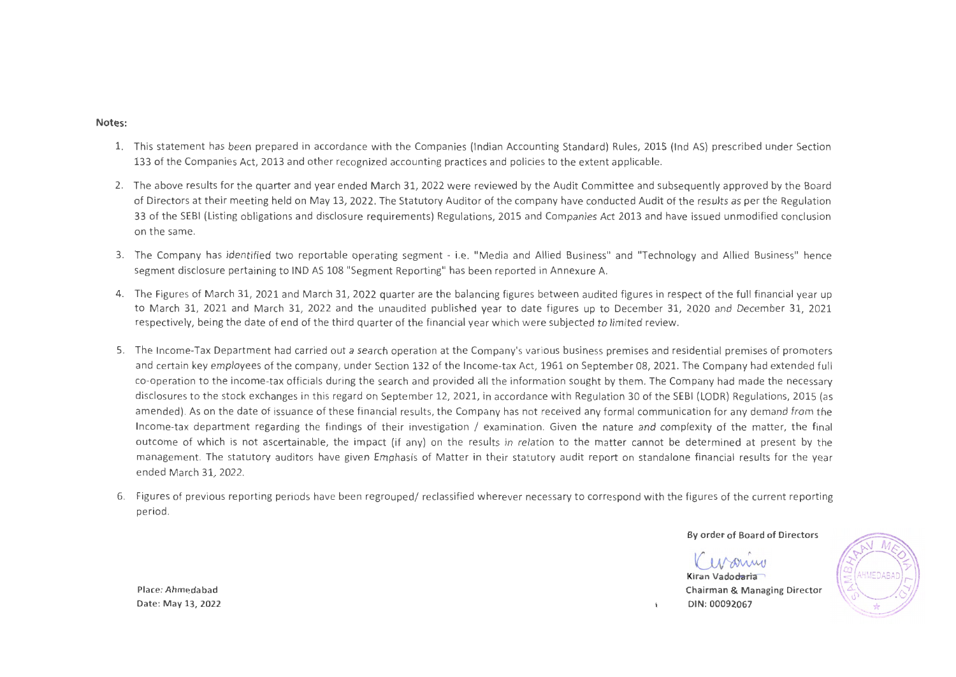#### **Notes:**

- 1. This statement has been prepared in accordance with the Companies (Indian Accounting Standard) Rules, 2015 (lnd AS) prescribed under Section 133 of the Companies Act, 2013 and other recognized accounting practices and policies to the extent applicable.
- 2. The above results for the quarter and year ended March 31, 2022 were reviewed by the Audit Committee and subsequently approved by the Board of Directors at their meeting held on May 13, 2022. The Statutory Auditor of the company have conducted Audit of the results as per the Regulation 33 of the SEBI (Listing obligations and disclosure requirements) Regulations, 2015 and Companies Act 2013 and have issued unmodified conclusion on the same.
- 3. The Company has identified two reportable operating segment i.e. "Media and Allied Business" and "Technology and Allied Business" hence segment disclosure pertaining to IND AS 108 "Segment Reporting" has been reported in Annexure A.
- 4. The Figures of March 31, 2021 and March 31, 2022 quarter are the balancing figures between audited figures in respect of the full financial year up to March 31, 2021 and March 31, 2022 and the unaudited published year to date figures up to December 31, 2020 and December 31, 2021 respectively, being the date of end of the third quarter of the financial year which were subjected to limited review.
- 5. The Income-Tax Department had carried out a search operation at the Company's various business premises and residential premises of promoters and certain key employees of the company, under Section 132 of the Income-tax Act, 1961 on September 08, 2021. The Company had extended full co-operation to the income-tax officials during the search and provided all the information sought by them. The Company had made the necessary disclosures to the stock exchanges in this regard on September 12, 2021, in accordance with Regulation 30 of the SEBI (LODR) Regulations, 2015 (as amended). As on the date of issuance of these financial results, the Company has not received any formal communication for any demand from the Income-tax department regarding the findings of their investigation / examination. Given the nature and complexity of the matter, the final outcome of which is not ascertainable, the impact (if any) on the results in relation to the matter cannot be determined at present by the management. The statutory auditors have given Emphasis of Matter in their statutory audit report on standalone financial results for the year ended March 31, 2022.
- 6. Figures of previous reporting periods have been regrouped/ reclassified wherever necessary to correspond with the figures of the current reporting period.

By order of Board of Directors

Kiran Vado<del>daria</del> Chairman & Managing Director DIN:00092067

Place: Ahmedabad Date: May 13, 2022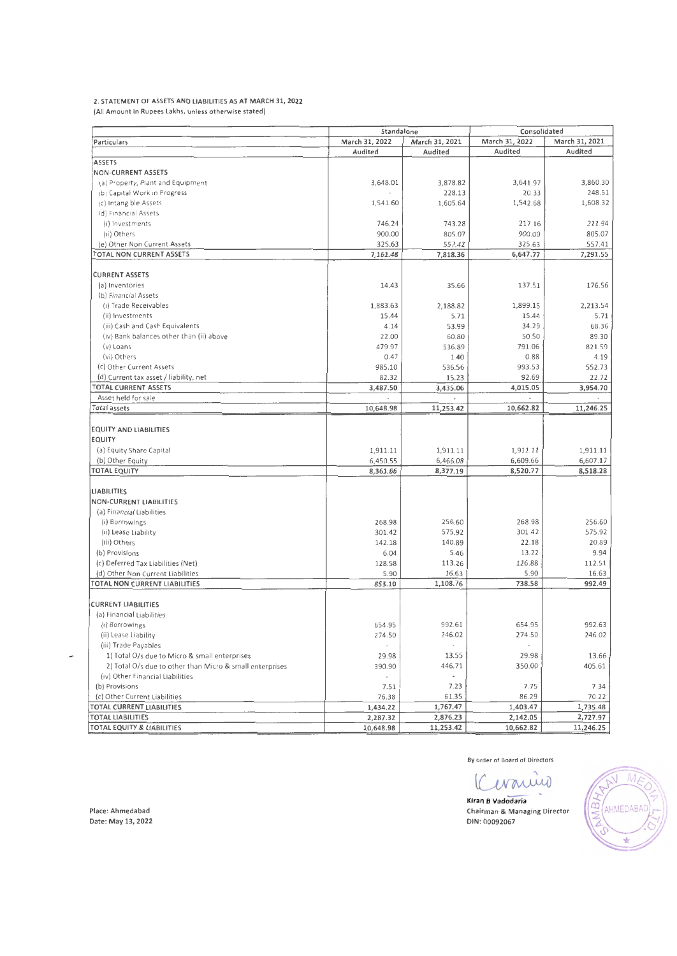#### 2. STATEMENT OF ASSETS AND LIABILITIES AS AT MARCH 31, 2022

(All Amount in Rupees lakhs, unless otherwise stated)

|                                                          | Standalone     |                          | Consolidated   |                |  |
|----------------------------------------------------------|----------------|--------------------------|----------------|----------------|--|
| Particulars                                              | March 31, 2022 | March 31, 2021           | March 31, 2022 | March 31, 2021 |  |
|                                                          | Audited        | Audited                  | Audited        | Audited        |  |
| <b>ASSETS</b>                                            |                |                          |                |                |  |
| <b>NON-CURRENT ASSETS</b>                                |                |                          |                |                |  |
| (a) Property, Piant and Equipment                        | 3,648.01       | 3,878.82                 | 3,641.97       | 3,860.30       |  |
| (b) Capital Work in Progress                             |                | 228.13                   | 20.33          | 248.51         |  |
| (c) Intang ble Assets                                    | 1,541.60       | 1,605.64                 | 1,542.68       | 1,608.32       |  |
| (d) Financial Assets                                     |                |                          |                |                |  |
| (i) Investments                                          | 746.24         | 743.28                   | 217.16         | 211.94         |  |
| (ii) Others                                              | 900.00         | 805.07                   | 900.00         | 805.07         |  |
| (e) Other Non Current Assets                             | 325.63         | 557.42                   | 325.63         | 557.41         |  |
| TOTAL NON CURRENT ASSETS                                 | 7,161.48       | 7,818.36                 | 6,647.77       | 7,291.55       |  |
|                                                          |                |                          |                |                |  |
| <b>CURRENT ASSETS</b>                                    |                |                          |                |                |  |
| (a) Inventories                                          | 14.43          | 35.66                    | 137.51         | 176.56         |  |
| (b) Financial Assets                                     |                |                          |                |                |  |
| (i) Trade Receivables                                    | 1,883.63       | 2,188.82                 | 1,899.15       | 2,213.54       |  |
| (ii) Investments                                         | 15.44          | 5.71                     | 15.44          | 5.71           |  |
|                                                          |                | 53.99                    | 34.29          | 68.36          |  |
| (iii) Cash and Cash Equivalents                          | 4.14           |                          |                | 89.30          |  |
| (iv) Bank balances other than (ii) above                 | 22.00          | 60.80                    | 50.50          |                |  |
| (v) Loans                                                | 479.97         | 536.89                   | 791.06         | 821.59         |  |
| (vi) Others                                              | 0.47           | 1.40                     | 0.88           | 4.19           |  |
| (c) Other Current Assets                                 | 985.10         | 536.56                   | 993.53         | 552.73         |  |
| (d) Current tax asset / liability, net                   | 82.32          | 15.23                    | 92.69          | 22.72          |  |
| <b>TOTAL CURRENT ASSETS</b>                              | 3,487.50       | 3,435.06                 | 4,015.05       | 3,954.70       |  |
| Asset held for sale                                      |                |                          |                |                |  |
| Total assets                                             | 10,648.98      | 11,253.42                | 10,662.82      | 11,246.25      |  |
|                                                          |                |                          |                |                |  |
| <b>EQUITY AND LIABILITIES</b>                            |                |                          |                |                |  |
| <b>EQUITY</b>                                            |                |                          |                |                |  |
| (a) Equity Share Capital                                 | 1,911.11       | 1,911.11                 | 1,911.11       | 1,911.11       |  |
| (b) Other Equity                                         | 6,450.55       | 6,466.08                 | 6,609.66       | 6,607.17       |  |
| <b>TOTAL EQUITY</b>                                      | 8,361.66       | 8,377.19                 | 8,520.77       | 8,518.28       |  |
|                                                          |                |                          |                |                |  |
| <b>LIABILITIES</b>                                       |                |                          |                |                |  |
| <b>NON-CURRENT LIABILITIES</b>                           |                |                          |                |                |  |
| (a) Financial Liabilities                                |                |                          |                |                |  |
| (i) Borrowings                                           | 268.98         | 256.60                   | 268.98         | 256.60         |  |
| (ii) Lease Liability                                     | 301.42         | 575.92                   | 301.42         | 575.92         |  |
| (iii) Others                                             | 142.18         | 140.89                   | 22.18          | 20.89          |  |
| (b) Provisions                                           | 6.04           | 5.46                     | 13.22          | 9.94           |  |
| (c) Deferred Tax Liabilities (Net)                       | 128.58         | 113.26                   | 126.88         | 112.51         |  |
| (d) Other Non Current Liabilities                        | 5.90           | 16.63                    | 5.90           | 16.63          |  |
| TOTAL NON CURRENT LIABILITIES                            | 853.10         | 1,108.76                 | 738.58         | 992.49         |  |
|                                                          |                |                          |                |                |  |
| <b>CURRENT LIABILITIES</b>                               |                |                          |                |                |  |
| (a) Financial Liabilities                                |                |                          |                |                |  |
| (t) Borrowings                                           | 654.95         | 992.61                   | 654.95         | 992.63         |  |
| (ii) Lease Liability                                     | 274.50         | 246.02                   | 274.50         | 246.02         |  |
| (iii) Trade Payables                                     |                |                          |                |                |  |
| 1) Total O/s due to Micro & small enterprises            | 29.98          | 13.55                    | 29.98          | 13.66          |  |
| 2) Total O/s due to other than Micro & small enterprises | 390.90         | 446.71                   | 350.00         | 405.61         |  |
| (iv) Other Financial Liabilities                         | $\bullet$      | $\overline{\phantom{a}}$ |                |                |  |
| (b) Provisions                                           | 7.51           | 7.23                     | 7.75           | 7.34           |  |
| (c) Other Current Liabilities                            | 76.38          | 61.35                    | 86.29          | 70.22          |  |
| TOTAL CURRENT LIABILITIES                                | 1,434.22       | 1,767.47                 | 1,403.47       | 1,735.48       |  |
| <b>TOTAL LIABILITIES</b>                                 | 2,287.32       | 2,876.23                 | 2,142.05       | 2,727.97       |  |
| TOTAL EQUITY & LIABILITIES                               | 10,648.98      | 11,253.42                | 10,662.82      | 11,246.25      |  |

**By order of Board of Directors** 

Kiran B. Vadodaria Chairman & Managing Director DIN : 00092067



Place: Ahmedabad Date: May 13, 2022

×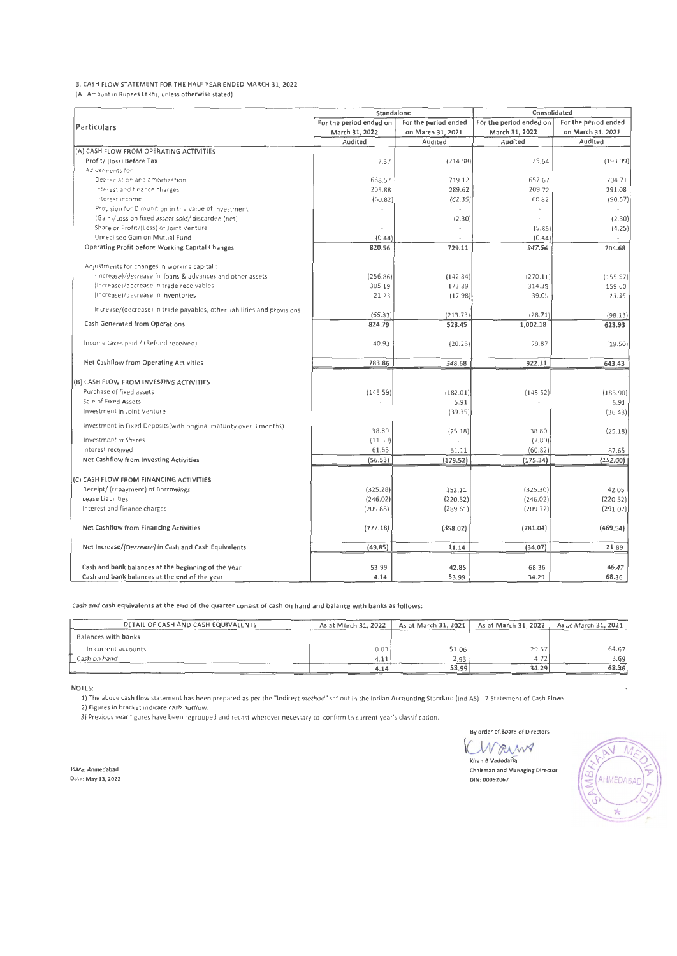#### 3. CASH FLOW STATEMENT FOR THE HALF YEAR ENDED MARCH 31, 2022

**(AJI Amount in Rupees Lakhs, unless otherwise stated)** 

|                                                                         | Standalone              |                      | Consolidated            |                          |  |  |
|-------------------------------------------------------------------------|-------------------------|----------------------|-------------------------|--------------------------|--|--|
| Particulars                                                             | For the period ended on | For the period ended | For the period ended on | For the period ended     |  |  |
|                                                                         | March 31, 2022          | on March 31, 2021    | March 31, 2022          | on March 31, 2021        |  |  |
|                                                                         | Audited                 | Audited              | Audited                 | Audited                  |  |  |
| (A) CASH FLOW FROM OPERATING ACTIVITIES                                 |                         |                      |                         |                          |  |  |
| Profit/ (loss) Before Tax                                               | 7.37                    | (214.98)             | 25.64                   | (193.99)                 |  |  |
| Ad ustments for                                                         |                         |                      |                         |                          |  |  |
| Depreciation and amortization                                           | 668.57                  | 719.12               | 657.67                  | 704.71                   |  |  |
| nterest and finance charges.                                            | 205.88                  | 289.62               | 209.72                  | 291.08                   |  |  |
| nterest income                                                          | (60.82)                 | (62.35)              | 60.82                   | (90.57)                  |  |  |
| Provision for Dimunition in the value of Investment                     |                         |                      |                         | $\overline{\phantom{a}}$ |  |  |
| (Gain)/Loss on fixed assets sold/ discarded (net)                       |                         | (2.30)               |                         | (2.30)                   |  |  |
| Share or Profit/(Loss) of Joint Venture                                 |                         |                      | (5.85)                  | (4.25)                   |  |  |
| Unrealised Gain on Mutual Fund                                          | (0.44)                  |                      | (0.44)                  |                          |  |  |
| Operating Profit before Working Capital Changes                         | 820.56                  | 729.11               | 947.56                  | 704.68                   |  |  |
| Adjustments for changes in working capital:                             |                         |                      |                         |                          |  |  |
| (Increase)/decrease in loans & advances and other assets                | (256.86)                | (142.84)             | (270.11)                | (155.57)                 |  |  |
| (Increase)/decrease in trade receivables                                | 305.19                  | 173.89               | 314.39                  | 159.60                   |  |  |
| (Increase)/decrease in inventories                                      | 21.23                   | (17.98)              | 39.05                   | 13.35                    |  |  |
| Increase/(decrease) in trade payables, other liabilities and provisions | (65.33)                 | (213.73)             | (28.71)                 | (98.13)                  |  |  |
| Cash Generated from Operations                                          | 824.79                  | 528.45               | 1,002.18                | 623.93                   |  |  |
| Income taxes paid / (Refund received)                                   | 40.93                   | (20.23)              | 79.87                   | (19.50)                  |  |  |
| Net Cashflow from Operating Activities                                  | 783.86                  | 548.68               | 922.31                  | 643.43                   |  |  |
|                                                                         |                         |                      |                         |                          |  |  |
| (B) CASH FLOW FROM INVESTING ACTIVITIES                                 |                         |                      |                         |                          |  |  |
| Purchase of fixed assets                                                | (145.59)                | (182.01)             | (145.52)                | (183.90)                 |  |  |
| Sale of Fixed Assets                                                    |                         | 5.91                 |                         | 5.91                     |  |  |
| Investment in Joint Venture                                             |                         | (39.35)              |                         | (36.48)                  |  |  |
| Investment in Fixed Deposits (with original maturity over 3 months).    | 38.80                   | (25.18)              | 38.80                   | (25.18)                  |  |  |
| Investment in Shares                                                    | (11.39)                 |                      | (7.80)                  |                          |  |  |
| Interest received                                                       | 61.65                   | 61.11                | (60.82)                 | 87.65                    |  |  |
| Net Cashflow from Investing Activities                                  | (56.53)                 | (179.52)             | (175.34)                | (152.00)                 |  |  |
| (C) CASH FLOW FROM FINANCING ACTIVITIES                                 |                         |                      |                         |                          |  |  |
| Receipt/ (repayment) of Borrowings                                      | (325.28)                | 152.11               | (325.30)                | 42.05                    |  |  |
| Lease Liabilities                                                       | (246.02)                | (220.52)             | (246.02)                | (220.52)                 |  |  |
| Interest and finance charges                                            | (205.88)                | (289.61)             | (209.72)                | (291.07)                 |  |  |
| Net Cashflow from Financing Activities                                  | (777.18)                | (358.02)             | (781.04)                | (469.54)                 |  |  |
| Net Increase/(Decrease) In Cash and Cash Equivalents                    | (49.85)                 | 11.14                | (34.07)                 | 21.89                    |  |  |
|                                                                         |                         |                      |                         |                          |  |  |
| Cash and bank balances at the beginning of the year                     | 53.99                   | 42.8S                | 68.36                   | 46.47                    |  |  |
| Cash and bank balances at the end of the year                           | 4.14                    | 53.99                | 34.29                   | 68.36                    |  |  |

Cash and cash equivalents at the end of the quarter consist of cash on hand and balance with banks as follows:

| DETAIL OF CASH AND CASH EQUIVALENTS | As at March 31, 2022 | As at March 31, 2021 | As at March 31, 2022 | As at March 31, 2021 |
|-------------------------------------|----------------------|----------------------|----------------------|----------------------|
| Balances with banks                 |                      |                      |                      |                      |
| In current accounts                 | 0.03                 | 51.06                | 29.57                | 64.67                |
| Cash on hand                        | 4.11                 | 2.93                 | 4.72'                | 3.69                 |
|                                     | 4.14                 | 53.99                | 34.29                | 68.36                |

NOTES:

1) The above cash flow statement has been prepared as per the "indirect method" set out in the Indian Accounting Standard (ind AS) - 7 Statement of Cash Flows.

**2) Figures in bracket ind1cate cash outflow.** 

**3) Previous year figures have been regrouped and recast wherever necessary to confirm to current year's classification.** 

By order of Board of Directors<br>A W CAMY<br>Xitem B Vadodaria **By order** of~ard **of Directors** 

**Klran 8 Vadoda;la Chairman and Managing Director**  DIN: 00092067

 $\overline{\mathcal{M}}$  $\mathbb N$ AHMEDABA  $\mathcal{A}$ 

**Place: Ahmedabad Date: May 13, 2022**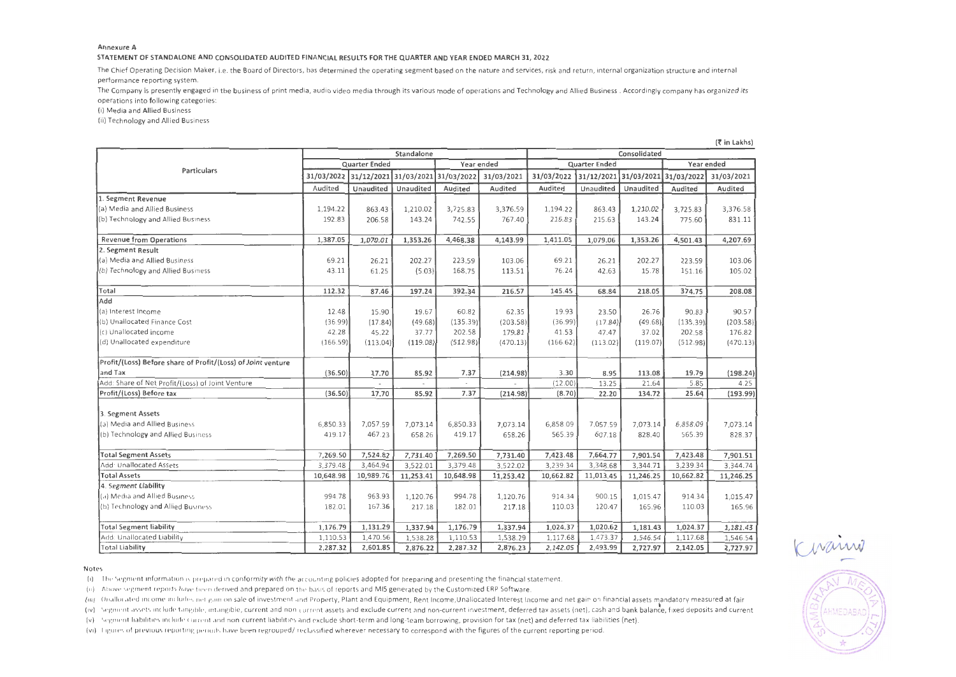#### **Annexure A**

#### STATEMENT OF STANDALONE AND CONSOLIDATED AUDITED FINANCIAL RESULTS FOR THE QUARTER AND YEAR ENDED MARCH 31,2022

The Chief Operating Decision Maker, i.e. the Board of Directors, has determined the operating segment based on the nature and services, risk and return, internal organization structure and internal performance reporting system.

The Company is presently engaged in the business of print media, audio video media through its various mode of operations and Technology and Allied Business. Accordingly company has organized its operations into following categories:

(i) Media and Allied Business

(ii) Technology and Allied Business

|                                                              | Standalone            |           |            |                       |                      | Consolidated |            |                       |           |            |  |
|--------------------------------------------------------------|-----------------------|-----------|------------|-----------------------|----------------------|--------------|------------|-----------------------|-----------|------------|--|
|                                                              | <b>Quarter Ended</b>  |           | Year ended |                       | <b>Quarter Ended</b> |              |            | Year ended            |           |            |  |
| Particulars                                                  | 31/03/2022 31/12/2021 |           |            | 31/03/2021 31/03/2022 | 31/03/2021           | 31/03/2022   | 31/12/2021 | 31/03/2021 31/03/2022 |           | 31/03/2021 |  |
|                                                              | Audited               | Unaudited | Unaudited  | Audited               | Audited              | Audited      | Unaudited  | Unaudited             | Audited   | Audited    |  |
| 1. Segment Revenue                                           |                       |           |            |                       |                      |              |            |                       |           |            |  |
| (a) Media and Allied Business                                | 1,194.22              | 863.43    | 1,210.02   | 3,725.83              | 3,376.59             | 1,194.22     | 863.43     | 1,210.02              | 3,725.83  | 3,376.58   |  |
| (b) Technology and Allied Business                           | 192.83                | 206.58    | 143.24     | 742.55                | 767.40               | 216.83       | 215.63     | 143.24                | 775.60    | 831.11     |  |
| <b>Revenue from Operations</b>                               | 1,387.05              | 1,070.01  | 1,353.26   | 4,468.38              | 4,143.99             | 1,411.05     | 1,079.06   | 1,353.26              | 4,501.43  | 4,207.69   |  |
| 2. Segment Result                                            |                       |           |            |                       |                      |              |            |                       |           |            |  |
| (a) Media and Allied Business                                | 69.21                 | 26.21     | 202.27     | 223.59                | 103.06               | 69.21        | 26.21      | 202.27                | 223.59    | 103.06     |  |
| (b) Technology and Allied Business                           | 43.11                 | 61.25     | (5.03)     | 168.75                | 113.51               | 76.24        | 42.63      | 15.78                 | 151.16    | 105.02     |  |
| Total                                                        | 112.32                | 87.46     | 197.24     | 392.34                | 216.57               | 145.45       | 68.84      | 218.05                | 374.75    | 208.08     |  |
| Add                                                          |                       |           |            |                       |                      |              |            |                       |           |            |  |
| (a) Interest Income                                          | 12.48                 | 15.90     | 19.67      | 60.82                 | 62.35                | 19.93        | 23.50      | 26.76                 | 90.83     | 90.57      |  |
| (b) Unallocated Finance Cost                                 | (36.99)               | (17.84)   | (49.68)    | (135.39)              | (203.58)             | (36.99)      | (17.84)    | (49.68)               | (135.39)  | (203.58)   |  |
| (c) Unallocated income                                       | 42.28                 | 45.22     | 37.77      | 202.58                | 179.81               | 41.53        | 47.47      | 37.02                 | 202.58    | 176.82     |  |
| (d) Unallocated expenditure                                  | (166.59)              | (113.04)  | (119.08)   | (512.98)              | (470.13)             | (166.62)     | (113.02)   | (119.07)              | (512.98)  | (470.13)   |  |
| Profit/(Loss) Before share of Profit/(Loss) of Joint venture |                       |           |            |                       |                      |              |            |                       |           |            |  |
| and Tax                                                      | (36.50)               | 17.70     | 85.92      | 7.37                  | (214.98)             | 3.30         | 8.95       | 113.08                | 19.79     | (198.24)   |  |
| Add: Share of Net Profit/(Loss) of Joint Venture             |                       |           |            |                       |                      | (12.00)      | 13.25      | 21.64                 | 5.85      | 4.25       |  |
| Profit/(Loss) Before tax                                     | (36.50)               | 17.70     | 85.92      | 7.37                  | (214.98)             | (8.70)       | 22.20      | 134.72                | 25.64     | (193.99)   |  |
| 3. Segment Assets                                            |                       |           |            |                       |                      |              |            |                       |           |            |  |
| (a) Media and Allied Business                                | 6,850.33              | 7,057.59  | 7,073.14   | 6,850.33              | 7,073.14             | 6,858.09     | 7.057.59   | 7,073.14              | 6,858.09  | 7,073.14   |  |
| (b) Technology and Allied Business                           | 419.17                | 467.23    | 658.26     | 419.17                | 658.26               | 565.39       | 607.18     | 828.40                | 565.39    | 828.37     |  |
| <b>Total Segment Assets</b>                                  | 7,269.50              | 7,524.82  | 7,731.40   | 7,269.50              | 7,731.40             | 7,423.48     | 7,664.77   | 7,901.54              | 7,423.48  | 7,901.51   |  |
| Add <sup>-</sup> Unallocated Assets                          | 3,379.48              | 3,464.94  | 3,522.01   | 3,379.48              | 3,522.02             | 3,239.34     | 3,348.68   | 3,344.71              | 3,239.34  | 3,344.74   |  |
| <b>Total Assets</b>                                          | 10,648.98             | 10,989.76 | 11,253.41  | 10,648.98             | 11,253.42            | 10,662.82    | 11,013.45  | 11,246.25             | 10,662.82 | 11,246.25  |  |
| 4. Segment Liability                                         |                       |           |            |                       |                      |              |            |                       |           |            |  |
| (a) Media and Allied Business                                | 994.78                | 963.93    | 1,120.76   | 994.78                | 1,120.76             | 914.34       | 900.15     | 1,015.47              | 914.34    | 1,015.47   |  |
| (b) Technology and Allied Business                           | 182.01                | 167.36    | 217.18     | 182.01                | 217.18               | 110.03       | 120.47     | 165.96                | 110.03    | 165.96     |  |
| <b>Total Segment liability</b>                               | 1,176.79              | 1,131.29  | 1,337.94   | 1,176.79              | 1,337.94             | 1,024.37     | 1,020.62   | 1,181.43              | 1,024.37  | 1,181.43   |  |
| Add: Unallocated Liability                                   | 1,110.53              | 1,470.56  | 1,538.28   | 1,110.53              | 1,538.29             | 1,117.68     | 1,473.37   | 1,546.54              | 1,117.68  | 1,546.54   |  |
| Total Liability                                              | 2,287.32              | 2,601.85  | 2,876.22   | 2,287.32              | 2,876.23             | 2,142.05     | 2,493.99   | 2,727.97              | 2,142.05  | 2,727.97   |  |

(रै**in Lakhs)** 

#### Notes

(1) The Segment Information is prepared in conformity with the accounting policies adopted for preparing and presenting the financial statement.

(ii) Above segment reports have been derived and prepared on the basis of reports and MIS generated by the Customized ERP Software.

(iii) Unallocated income includes net gain on sale of investment and Property, Plant and Equipment, Rent Income,Unallocated Interest Income and net gain on financial assets mandatory measured at fair

(1v) Segment assets include tang1ble, mtangible, current and non-current assets and exclude current and non-current investment, deferred tax assets (net). cash and bank balance, fixed deposits and current

(v) Segment liabilities Include current and non-current liabilities and exclude short-term and long-team borrowing, provision for tax (net) and deferred tax liabilities (net).

(vi) F1gures of previous reporting penods have been regrouped/ reclassified wherever necessary to correspond with the figures of the current reporting period.

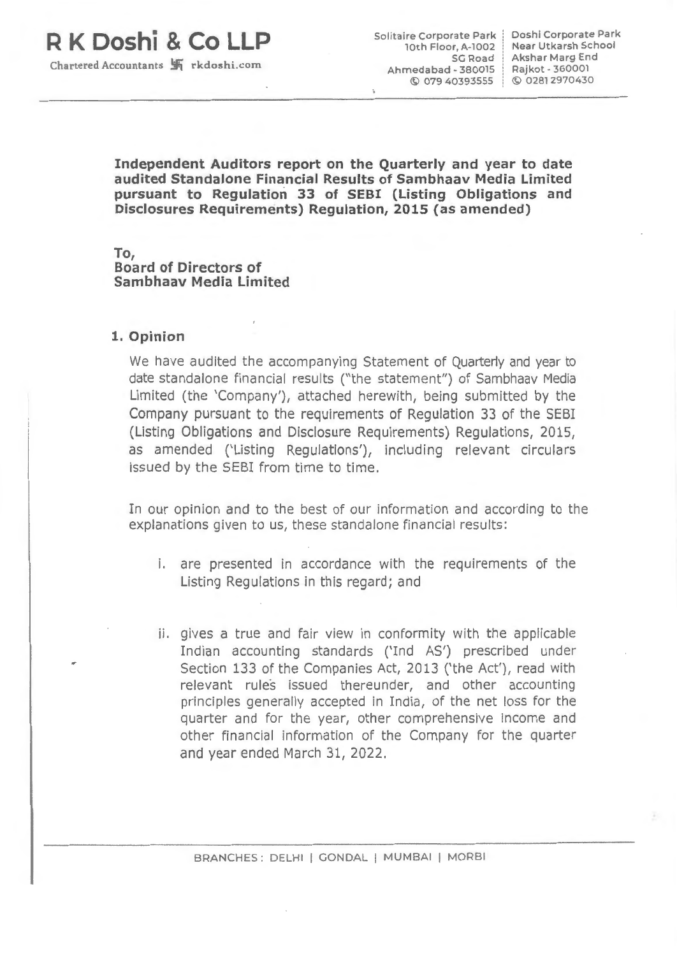# **R K Doshi & Co LLP**

10th Floor, A-1002 SG Road Ahmedabad - 380015 © 079 40393555 © 02812970430 Solitaire Corporate Park | Doshi Corporate Park Akshar Marg End (Akshar Marg End )<br>Ahmedabad - 380015 | Rajkot - 360001

Near Utkarsh School

**Independent Auditors report on the Quarterly and year to date audited Standalone Financial Results of Sambhaav Media Limited pursuant to Regulation 33 of SEBI (Listing Obligations and Disclosures Requirements) Regulation, 2015** (as **amended)** 

**To, Board of Directors of Sambhaav Media Limited** 

#### **1. Opinion**

We have audited the accompanying Statement of Quarterly and year to date standalone financial results ("the statement") of Sambhaav Media Limited (the 'Company'), attached herewith, being submitted by the Company pursuant to the requirements of Regulation 33 of the SEBI (Listing Obligations and Disclosure Requirements) Regulations, 2015, as amended ('Listing Regulations'), including relevant circulars issued by the SEBI from time to time.

In our opinion and to the best of our information and according to the explanations given to us, these standalone financial results:

- i. are presented in accordance with the requirements of the Listing Regulations in this regard; and
- ii. gives a true and fair view in conformity with the applicable Indian accounting standards ('Ind AS') prescribed under Section 133 of the Companies Act, 2013 ('the Act'), read with relevant rules issued thereunder, and other accounting principles generally accepted in India, of the net loss for the quarter and for the year, other comprehensive income and other financial information of the Company for the quarter and year ended March 31, 2022.

BRANCHES: DELHI I GONDAL I MUMBAI I MORBI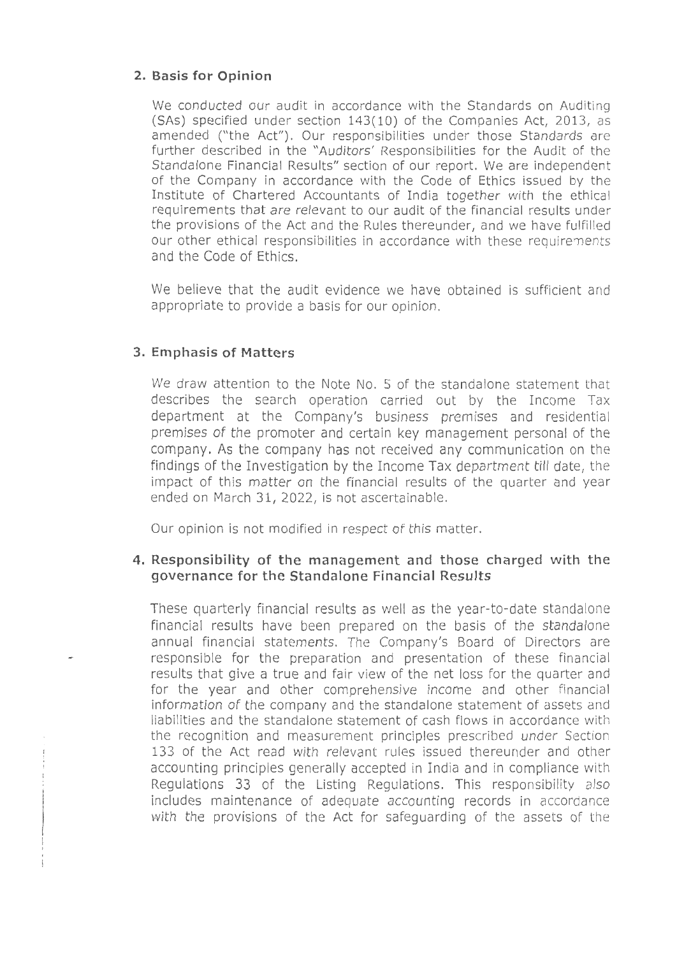### **2. Basis for Opinion**

We conducted our audit in accordance with the Standards on Auditing (SAs) specified under section 143(10) of the Companies Act, 2013, as amended ("the Act"). Our responsibilities under those Standards are further described in the "Auditors' Responsibilities for the Audit of the Standalone Financial Results" section of our report. We are independent of the Company in accordance with the Code of Ethics issued by the Institute of Chartered Accountants of India together with the ethical requirements that are relevant to our audit of the financial results under the provisions of the Act and the· Rules thereunder, and we have fulfilled our other ethical responsibilities in accordance with these requirements and the Code of Ethics.

We believe that the audit evidence we have obtained is sufficient and appropriate to provide a basis for our opinion.

### **3. Emphasis of Matters**

We draw attention to the Note No. 5 of the standalone statement that describes the search operation carried out by the Income Tax department at the Company's business premises and residential premises of the promoter and certain key management personal of the company. As the company has not received any communication on the findings of the Investigation by the Income Tax department till date, the impact of this matter on the financial results of the quarter and year ended on March 31, 2022, is not ascertainable.

Our opinion is not modified in respect of this matter.

### **4. Responsibility of the management and those charged with the governance for the Standalone Financial Results**

These quarterly financial results as well as the year-to-date standalone financial results have been prepared on the basis of the standalone annual financial statements. The Company's Board of Directors are responsible for the preparation and presentation of these financial results that give a true and fair view of the net loss for the quarter and for the year and other comprehensive income and other financial information of the company and the standalone statement of assets and liabilities and the standalone statement of cash flows in accordance with the recognition and measurement principles prescribed under Section 133 of the Act read with relevant rules issued thereunder and other accounting principles generally accepted in India and in compliance with Regulations 33 of the Listing Regulations. This responsibility also includes maintenance of adequate accounting records in accordance with the provisions of the Act for safeguarding of the assets of the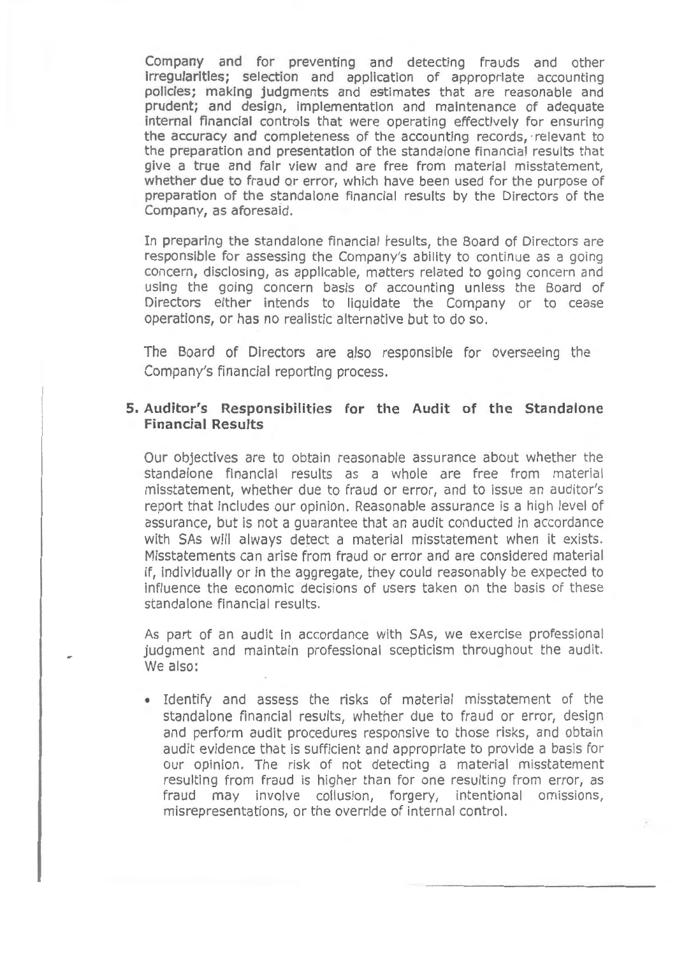Company and for preventing and detecting frauds and other irregularities; selection and application of appropriate accounting policies; making judgments and estimates that are reasonable and prudent; and design, implementation and maintenance of adequate internal financial controls that were operating effectively for ensuring the accuracy and completeness of the accounting records, · relevant to the preparation and presentation of the standalone financial results that give a true and fair view and are free from material misstatement, whether due to fraud or error, which have been used for the purpose of preparation of the standalone financial results by the Directors of the Company, as aforesaid.

In preparing the standalone financial results, the Board of Directors are responsible for assessing the Company's ability to continue as a going concern, disclosing, as applicable, matters related to going concern and using the going concern basis of accounting unless the Board of Directors either intends to liquidate the Company or to cease operations, or has no realistic alternative but to do so.

The Board of Directors are also responsible for overseeing the Company's financial reporting process.

#### **5. Auditor's Responsibilities for the Audit of the Standalone Financial Results**

Our objectives are to obtain reasonable assurance about whether the standalone financial results as a whole are free from material misstatement, whether due to fraud or error, and to issue an auditor's report that includes our opinion. Reasonable assurance is a high level of assurance, but is not a guarantee that an audit conducted in accordance with SAs will always detect a material misstatement when it exists. Misstatements can arise from fraud or error and are considered material if, individually or in the aggregate, they could reasonably be expected to influence the economic decisions of users taken on the basis of these standalone financial results.

As part of an audit in accordance with SAs, we exercise professional judgment and maintain professional scepticism throughout the audit. We also:

• Identify and assess the risks of material misstatement of the standalone financial results, whether due to fraud or error, design and perform audit procedures responsive to those risks, and obtain audit evidence that is sufficient and appropriate to provide a basis for our opinion. The risk of not detecting a material misstatement resulting from fraud is higher than for one resulting from error, as fraud may involve collusion, forgery, intentional omissions, misrepresentations, or the override of internal control.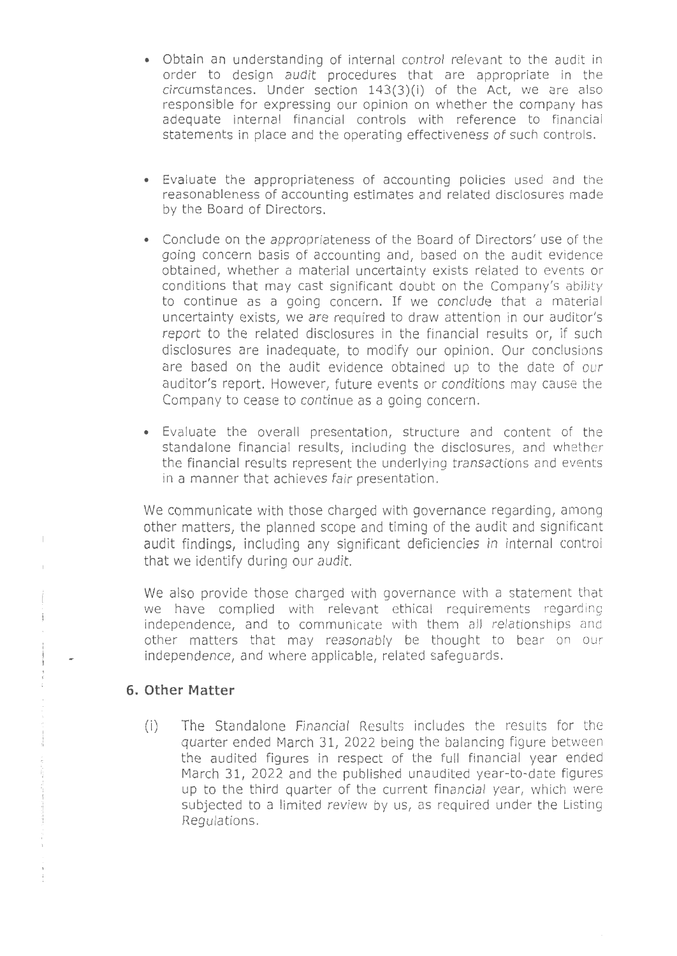- Obtain an understanding of internal control relevant to the audit in order to design audit procedures that are appropriate in the circumstances. Under section 143(3)(i) of the Act, we are also responsible for expressing our opinion on whether the company has adequate internal financial controls with reference to financial statements in place and the operating effectiveness of such controls.
- Evaluate the appropriateness of accounting policies used and the reasonableness of accounting estimates and related disclosures made by the Board of Directors.
- Conclude on the appropriateness of the Board of Directors' use of the going concern basis of accounting and, based on the audit evidence obtained, whether a material uncertainty exists related to events or conditions that may cast significant doubt on the Company's ability to continue as a going concern. If we conclude that a material uncertainty exists, we are required to draw attention in our auditor's report to the related disclosures in the financial results or, if such disclosures are inadequate, to modify our opinion. Our conclusions are based on the audit evidence obtained up to the date of our auditor's report. However, future events or conditions may cause the Company to cease to continue as a going concern.
- Evaluate the overall presentation, structure and content of the standalone financial results, including the disclosures, and whether the financial results represent the underlying transactions and events in a manner that achieves fair presentation.

We communicate with those charged with governance regarding, among other matters, the planned scope and timing of the audit and significant audit findings, including any significant deficiencies in internal control that we identify during our audit.

We also provide those charged with governance with a statement that we have complied with relevant ethical requirements regarding independence, and to communicate with them all relationships and other matters that may reasonably be thought to bear on our independence, and where applicable, related safeguards.

### **6. Other Matter**

 $\parallel$ 

 $\frac{1}{2}$ ł,

 $\sigma$  , and the  $\sigma$  -state bound of  $\sigma$ 

(i) The Standalone Financial Results includes the results for the quarter ended March 31, 2022 being the balancing figure between the audited figures in respect of the full financial year ended March 31, 2022 and the published unaudited year-to-date figures up to the third quarter of the current financial year, which were subjected to a limited review by us, as required under the Listing Requlations.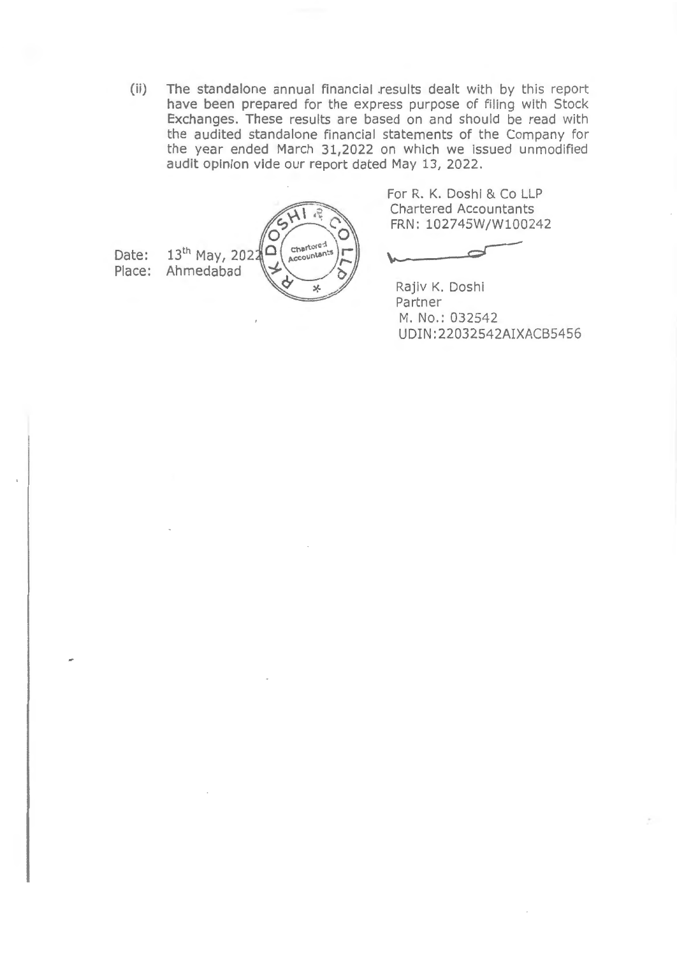(ii) The standalone annual financial .results dealt with by this report have been prepared for the express purpose of filing with Stock Exchanges. These results are based on and should be read with the audited standalone financial statements of the Company for the year ended March 31,2022 on which we issued unmodified audit opinion vide our report dated May 13, 2022.

 $\sqrt{2}$ Chartore: Chartore: 13<sup>th</sup> May, 2022  $\Omega$ Place: Ahmedabad ×

Date:

For R. K. Doshi & Co LLP Chartered Accountants FRN: 102745W/W100242

Rajiv K. Doshi Partner M. No.: 032542 UDIN:22032542AIXACB5456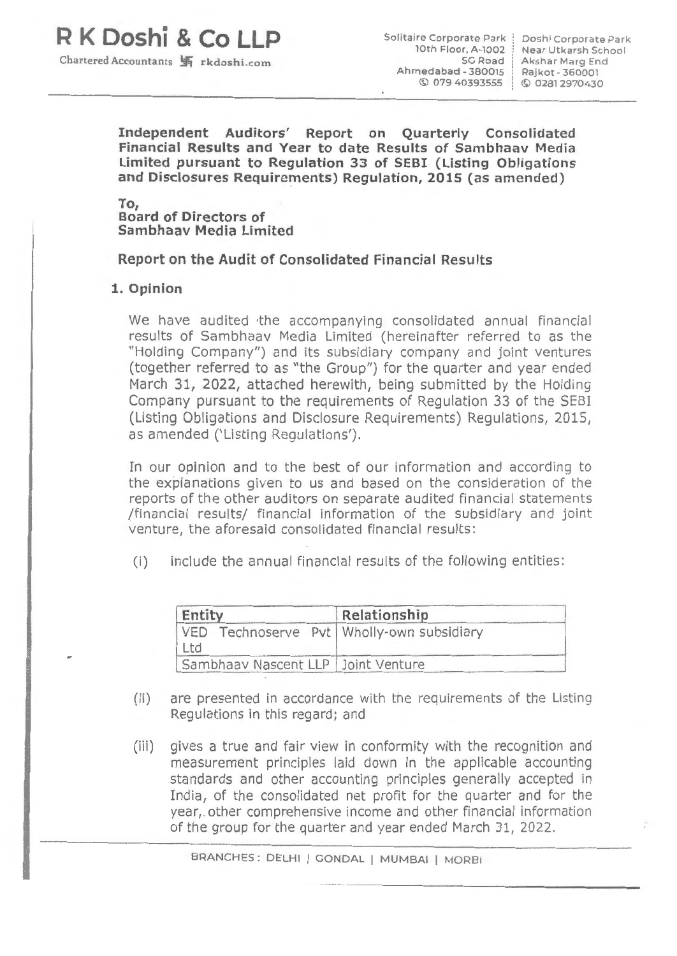# **R K Doshi & Co LLP**

Chartered Accountants **.!fi** rkdos h i .com

Solitaire Corporate Park lOth Floor, A-1002 Ahme dabad- 380015 © 0 79 4 03935S5

SG Road Akshar Marg End Doshi Corporate Park Near Utkarsh School Rajkot- 360001 © 02812970430

**Independent Auditors' Report on Quarterly Consolidated Financial Results and Year to date Results of Sambhaav Media Limited pursuant to Regulation 33 of SEBI (Listing Obligations and Disclosures Requirements) Regulation, 2015** (as **amended)** 

**To,** 

**Board of Directors of Sambhaav Media Limited** 

**Report on the Audit of Consolidated Financial Results** 

#### **1. Opinion**

We have audited the accompanying consolidated annual financial results of Sambhaav Media Limited (hereinafter referred to as the "Holding Company") and its subsidiary company and joint ventures (together referred to as "the Group") for the quarter and year ended March 31, 2022, attached herewith, being submitted by the Holding Company pursuant to the requirements of Regulation 33 of the SEBI (Listing Obligations and Disclosure Requirements) Regulations, 2015, as amended ('Listing Regulations').

In our opinion and to the best of our information and according to the explanations given to us and based on the consideration of the reports of the other auditors on separate audited financial statements /financial results/ financial information of the subsidiary and joint venture, the aforesaid consolidated financial results:

(i) include the annual financial results of the following entities :

| Entity                                                 | Relationship |
|--------------------------------------------------------|--------------|
| VED Technoserve Pvt   Wholly-own subsidiary<br>$ $ Ltd |              |
| Sambhaav Nascent LLP   Joint Venture                   |              |

- (ii) are presented in accordance with the requirements of the Listing Regulations in this regard; and
- (iii) gives a true and fair view in conformity with the recognition and measurement principles laid down in the applicable accounting standards and other accounting principles generally accepted in India, of the consolidated net profit for the quarter and for the year,. other comprehensive income and other financial information of the group for the quarter and year ended March 31, 2022.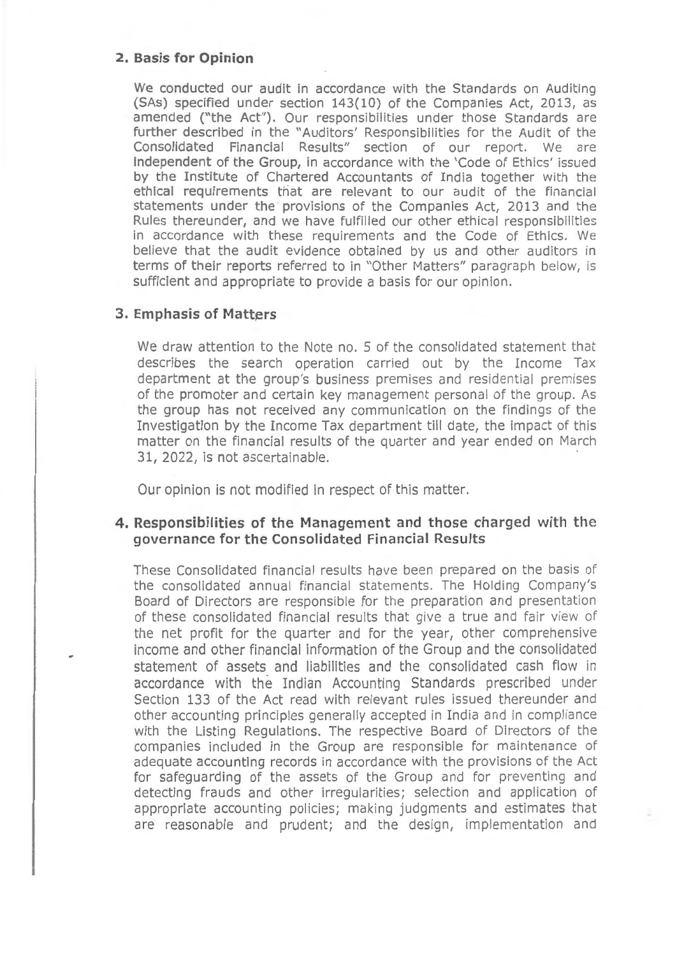#### **2. Basis for Opinion**

We conducted our audit in accordance with the Standards on Auditing (SAs) specified under section 143(10) of the Companies Act, 2013, as amended ("the Act"). Our responsibilities under those Standards are further described in the "Auditors' Responsibilities for the Audit of the Consolidated Financial Results" section of our report. We are independent of the Group, in accordance with the 'Code of Ethics' issued by the Institute of Chartered Accountants of India together with the ethical requirements that are relevant to our audit of the financial statements under the provisions of the Companies Act, 2013 and the Rules thereunder, and we have fulfilled our other ethical responsibilities in accordance with these requirements and the Code of Ethics. We believe that the audit evidence obtained by us and other auditors in terms of their reports referred to in "Other Matters" paragraph below, is sufficient and appropriate to provide a basis for our opinion.

### **3. Emphasis of Matters**

We draw attention to the Note no. 5 of the consolidated statement that describes the search operation carried out by the Income Tax department at the group's business premises and residential premises of the promoter and certain key management personal of the group. As the group has not received any communication on the findings of the Investigation by the Income Tax department till date, the impact of this matter on the financial results of the quarter and year ended on March 31, 2022, is not ascertainable.

Our opinion is not modified in respect of this matter.

## **4. Responsibilities of the Management and those charged with the governance for the Consolidated Financial Results**

These Consolidated financial results have been prepared on the basis of the consolidated annual financial statements. The Holding Company's Board of Directors are responsible for the preparation and presentation of these consolidated financial results that give a true and fair view of the net profit for the quarter and for the year, other comprehensive income and other financial information of the Group and the consolidated statement of assets and liabilities and the consolidated cash flow in accordance with the Indian Accounting Standards prescribed under Section 133 of the Act read with relevant rules issued thereunder and other accounting principles generally accepted in India and in compliance with the Listing Regulations. The respective Board of Directors of the companies included in the Group are responsible for maintenance of adequate accounting records in accordance with the provisions of the Act for safeguarding of the assets of the Group and for preventing and detecting frauds and other irregularities; selection and application of appropriate accounting policies; making judgments and estimates that are reasonable and prudent; and the design, implementation and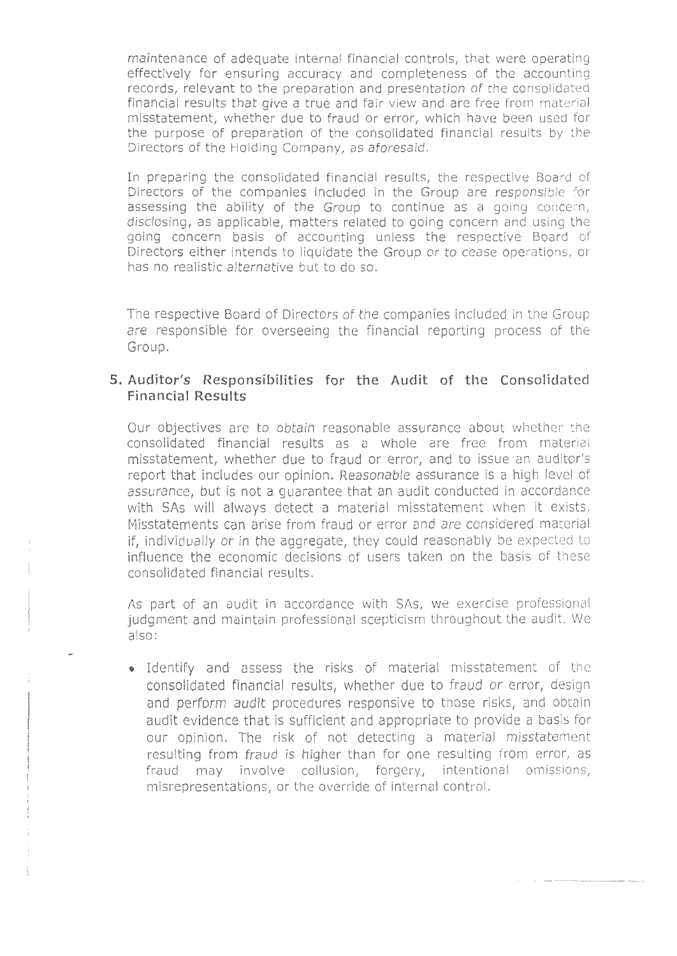maintenance of adequate internal financial controls, that were operating effectively for ensuring accuracy and completeness of the accounting records, relevant to the preparation and presentation of the consolidated financial results that give a true and fair view and are free from material misstatement, whether due to fraud or error, which have been used for the purpose of preparation of the consolidated financial results by the Directors of the Holding Company, as aforesaid.

In preparing the consolidated financial results, the respective Board of Directors of the companies included in the Group are responsible for assessing the ability of the Group to continue as a going concern, disclosing, as applicable, matters related to going concern and using the going concern basis of accounting unless the respective Board of Directors either intends to liquidate the Group or to cease operations, or has no realistic alternative but to do so.

The respective Board of Directors of the companies included in the Group are responsible for overseeing the financial reporting process of the Group.

## **5. Auditor's Responsibilities for the Audit of the Consolidated Financial Results**

Our objectives are to obtain reasonable assurance about whether the consolidated financial results as a whole are free from material misstatement, whether due to fraud or error, and to issue an auditor's report that includes our opinion. Reasonable assurance is a high level of assurance, but is not a guarantee that an audit conducted in accordance with SAs will always detect a material misstatement when it exists. Misstatements can arise from fraud or error and are considered material if, individually or in the aggregate, they could reasonably be expected to influence the economic decisions of users taken on the basis of these consolidated financial results.

As part of an audit in accordance with SAs, we exercise professional judgment and maintain professional scepticism throughout the audit. We also:

• Identify and assess the risks of material misstatement of the consolidated financial results, whether due to fraud or error, design and perform audit procedures responsive to those risks, and obtain audit evidence that is sufficient and appropriate to provide a basis for our opinion. The risk of not detecting a material misstatement resulting from fraud is higher than for one resulting from error, as fraud may involve collusion, forgery, intentional omissions, misrepresentations, or the override of internal control.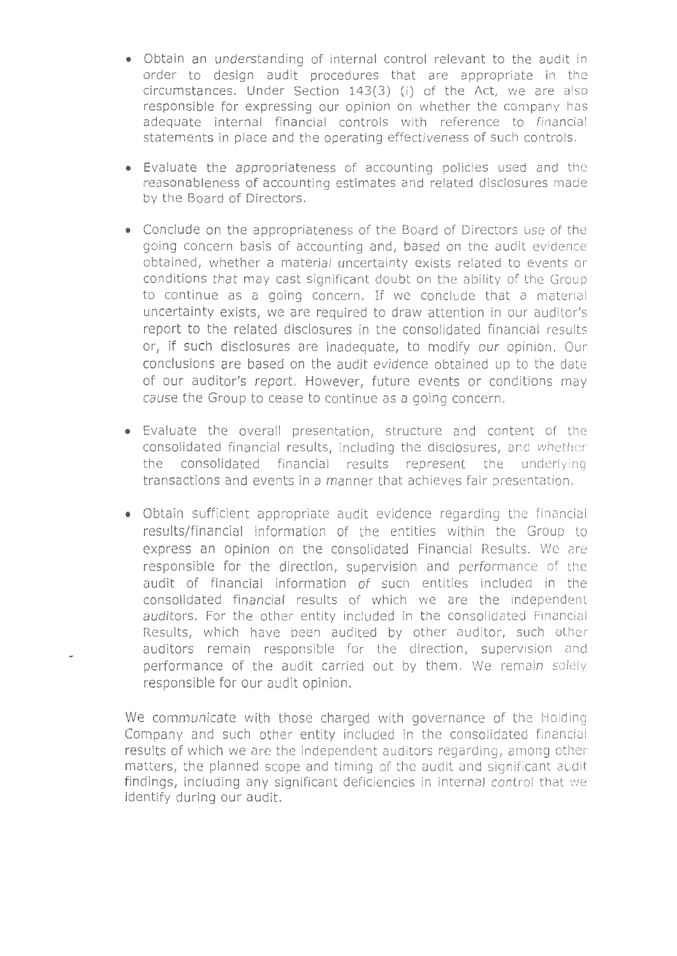- Obtain an understanding of internal control relevant to the audit in order to design audit procedures that are appropriate in the circumstances. Under Section  $143(3)$  (i) of the Act, we are also responsible for expressing our opinion on whether the company has adequate internal financial controls with reference to financial statements in place and the operating effectiveness of such controls.
- Evaluate the appropriateness of accounting policies used and the reasonableness of accounting estimates and related disclosures made by the Board of Directors.
- Conclude on the appropriateness of the Board of Directors use of the going concern basis of accounting and, based on the audit evidence obtained, whether a material uncertainty exists related to events or conditions that may cast significant doubt on the ability of the Group to continue as a going concern. If we conclude that a material uncertainty exists, we are required to draw attention in our auditor's report to the related disclosures in the consolidated financial results or, if such disclosures are inadequate, to modify our opinion. Our conclusions are based on the audit evidence obtained up to the date of our auditor's report. However, future events or conditions may cause the Group to cease to continue as a going concern.
- Evaluate the overall presentation, structure and content of the consolidated financial results, including the disclosures, and whetherthe consolidated financial results represent the underlying transactions and events in a manner that achieves fair presentation.
- Obtain sufficient appropriate audit evidence regarding the financial results/financial information of the entities within the Group to express an opinion on the consolidated Financial Results. We are responsible for the direction, supervision and performance of the audit of financial information of such entities included in the consolidated financial results of which we are the independent auditors. For the other entity included in the consolidated Financial Results, which have been audited by other auditor, such other auditors remain responsible for the direction, supervision and performance of the audit carried out by them. We remain solely responsible for our audit opinion.

We communicate with those charged with governance of the Holding Company and such other entity included in the consolidated financial results of which we are the independent auditors regarding, among other matters, the planned scope and timing of the audit and significant audit findings, including any significant deficiencies in internal control that we identify during our audit.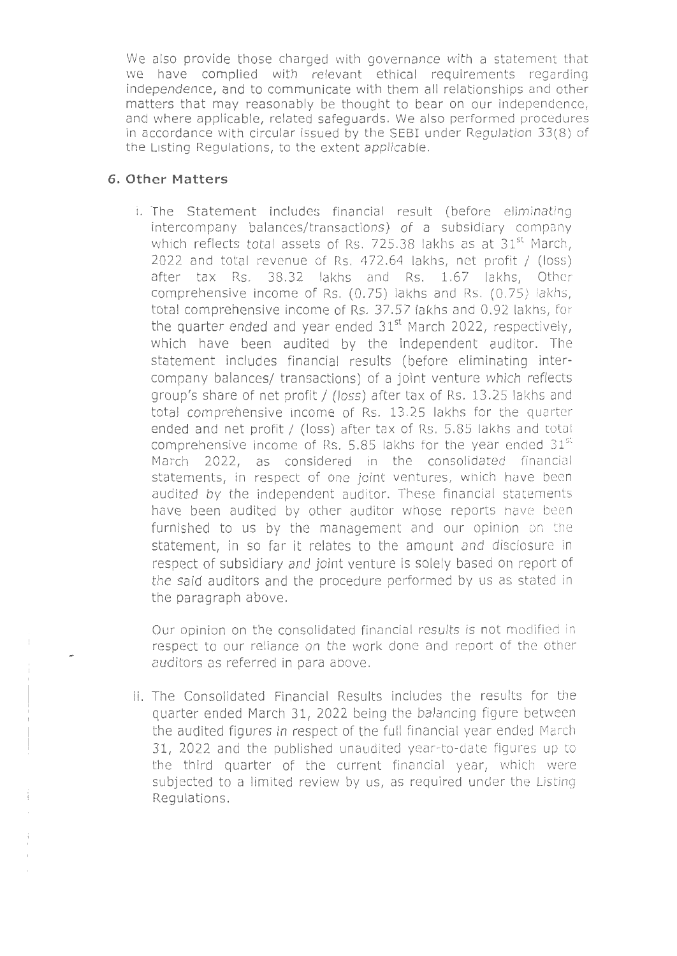We also provide those charged with governance with a statement that we have complied with relevant ethical requirements regarding independence, and to communicate with them all relationships and other matters that may reasonably be thought to bear on our independence, and where applicable, related safeguards. We also performed procedures in accordance with circular issued by the SEBI under Regulation 33(8) of the Listing Regulations, to the extent applicable.

### **6. Other Matters**

i. The Statement includes financial result (before eliminating intercompany balances/transactions) of a subsidiary company which reflects total assets of Rs. 725.38 lakhs as at 31<sup>st</sup> March, 2022 and total revenue of Rs. 472.64 lakhs, net profit / (loss) after tax Rs. 38.32 lakhs and Rs. 1.67 lakhs, Other comprehensive income of Rs. (0. 75) lakhs and Rs. (0. 75) lakhs, total comprehensive income of Rs. 37.57 lakhs and 0.92 lakhs, for the quarter ended and year ended  $31<sup>st</sup>$  March 2022, respectively, which have been audited by the independent auditor. The statement includes financial results (before eliminating intercompany balances/ transactions) of a joint venture which reflects group's share of net profit / (loss) after tax of Rs. 13.25 lakhs and total comprehensive income of Rs. 13.25 lakhs for the quarter ended and net profit / (loss) after tax of Rs. 5.85 lakhs and total comprehensive income of Rs. 5.85 lakhs for the year ended  $31^{\rm st}$ March 2022, as considered in the consolidated financial statements, in respect of one joint ventures, which have been audited by the independent auditor. These financial statements have been audited by other auditor whose reports have been furnished to us by the management and our opinion on the statement, in so far it relates to the amount and disclosure in respect of subsidiary and joint venture is solely based on report of the said auditors and the procedure performed by us as stated in the paragraph above.

Our opinion on the consolidated financial results is not modified in respect to our reliance on the work done and report of the other auditors as referred in para above.

ii. The Consolidated Financial Results includes the results for the quarter ended March 31, 2022 being the balancing figure between the audited figures in respect of the full financial year ended March 31, 2022 and the published unaudited year-to-date figures up to the third quarter of the current financial year, which were subjected to a limited review by us, as required under the Listing Regulations.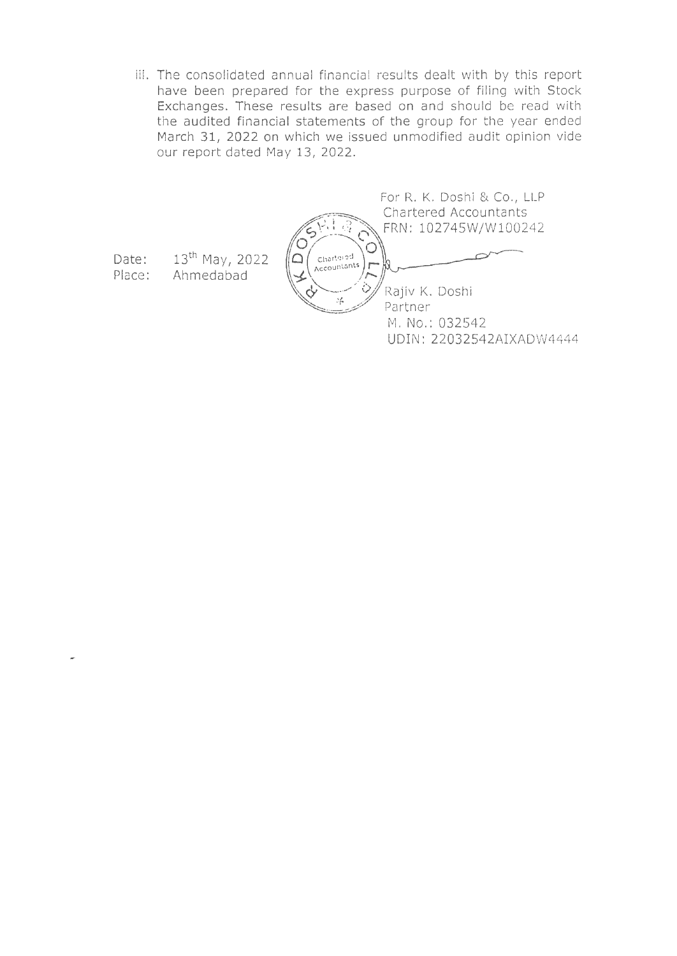iii. The consolidated annual financial results dealt with by this report have been prepared for the express purpose of filing with Stock Exchanges. These results are based on and should be read with the audited financial statements of the group for the year ended March 31, 2022 on which we issued unmodified audit opinion vide our report dated May 13, 2022.

For R. K. Doshi & Co., LLP Chartered Accountants FRN: 102745W/W100242 Ĉ Chartered  $\triangle$ Accountants ijО. h Õ Rajiv K. Doshi  $\mathcal{S}_{\mathbf{f}^n}^{\mathcal{F}}$ Partner M. No.: 032542 UDIN: 22032542AIXADW4444

Date: Place: 13th May, 2022 Ahmedabad